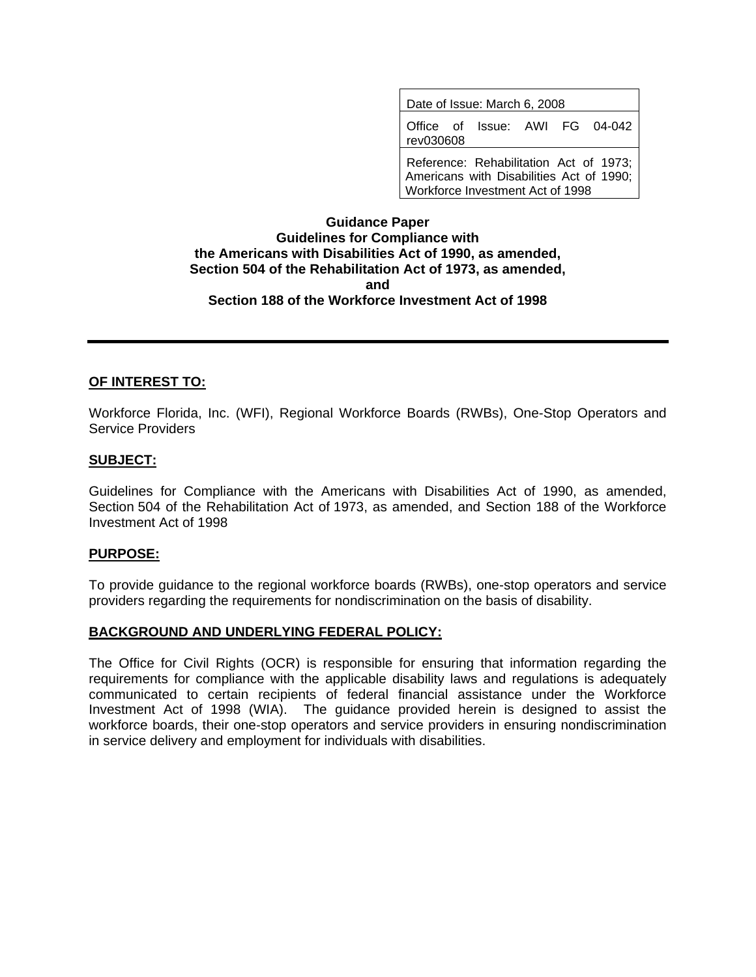| Date of Issue: March 6, 2008                                                                                           |  |  |
|------------------------------------------------------------------------------------------------------------------------|--|--|
| Office of Issue: AWI FG 04-042<br>rev030608                                                                            |  |  |
| Reference: Rehabilitation Act of 1973;<br>Americans with Disabilities Act of 1990;<br>Workforce Investment Act of 1998 |  |  |

## **Guidance Paper Guidelines for Compliance with the Americans with Disabilities Act of 1990, as amended, Section 504 of the Rehabilitation Act of 1973, as amended, and Section 188 of the Workforce Investment Act of 1998**

#### **OF INTEREST TO:**

Workforce Florida, Inc. (WFI), Regional Workforce Boards (RWBs), One-Stop Operators and Service Providers

#### **SUBJECT:**

Guidelines for Compliance with the Americans with Disabilities Act of 1990, as amended, Section 504 of the Rehabilitation Act of 1973, as amended, and Section 188 of the Workforce Investment Act of 1998

#### **PURPOSE:**

To provide guidance to the regional workforce boards (RWBs), one-stop operators and service providers regarding the requirements for nondiscrimination on the basis of disability.

#### **BACKGROUND AND UNDERLYING FEDERAL POLICY:**

The Office for Civil Rights (OCR) is responsible for ensuring that information regarding the requirements for compliance with the applicable disability laws and regulations is adequately communicated to certain recipients of federal financial assistance under the Workforce Investment Act of 1998 (WIA). The guidance provided herein is designed to assist the workforce boards, their one-stop operators and service providers in ensuring nondiscrimination in service delivery and employment for individuals with disabilities.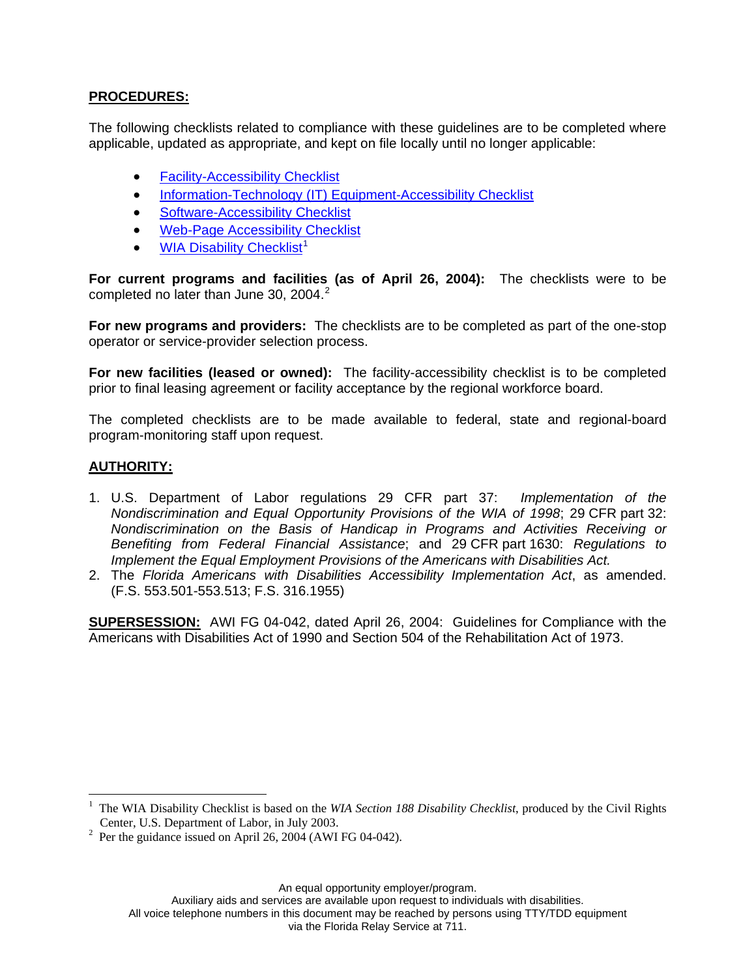## **PROCEDURES:**

The following checklists related to compliance with these guidelines are to be completed where applicable, updated as appropriate, and kept on file locally until no longer applicable:

- **[Facility-Accessibility Checklist](http://www.floridajobs.org/pdg/ada/adachecklist.htm)**
- [Information-Technology \(IT\) Equipment-Accessibility Checklist](http://www.doleta.gov/disability/htmldocs/ite_accesschecklist.htm)
- [Software-Accessibility Checklist](http://www.doleta.gov/disability/htmldocs/soft_accessibility_checklist.htm)
- [Web-Page Accessibility Checklist](http://www.doleta.gov/disability/htmldocs/web_accesschecklist.htm)
- **[WIA Disability Checklist](http://www.floridajobs.org/civilrights/moa/tabs/5-C.doc)<sup>[1](#page-1-0)</sup>**

**For current programs and facilities (as of April 26, 2004):** The checklists were to be completed no later than June 30, [2](#page-1-1)004.<sup>2</sup>

**For new programs and providers:** The checklists are to be completed as part of the one-stop operator or service-provider selection process.

**For new facilities (leased or owned):** The facility-accessibility checklist is to be completed prior to final leasing agreement or facility acceptance by the regional workforce board.

The completed checklists are to be made available to federal, state and regional-board program-monitoring staff upon request.

## **AUTHORITY:**

 $\overline{a}$ 

- 1. U.S. Department of Labor regulations 29 CFR part 37: *Implementation of the Nondiscrimination and Equal Opportunity Provisions of the WIA of 1998*; 29 CFR part 32: *Nondiscrimination on the Basis of Handicap in Programs and Activities Receiving or Benefiting from Federal Financial Assistance*; and 29 CFR part 1630: *Regulations to Implement the Equal Employment Provisions of the Americans with Disabilities Act.*
- 2. The *Florida Americans with Disabilities Accessibility Implementation Act*, as amended. (F.S. 553.501-553.513; F.S. 316.1955)

**SUPERSESSION:** AWI FG 04-042, dated April 26, 2004: Guidelines for Compliance with the Americans with Disabilities Act of 1990 and Section 504 of the Rehabilitation Act of 1973.

An equal opportunity employer/program.

Auxiliary aids and services are available upon request to individuals with disabilities.

All voice telephone numbers in this document may be reached by persons using TTY/TDD equipment

via the Florida Relay Service at 711.

<span id="page-1-0"></span><sup>1</sup> The WIA Disability Checklist is based on the *WIA Section 188 Disability Checklist*, produced by the Civil Rights Center, U.S. Department of Labor, in July 2003.

<span id="page-1-1"></span> $^2$  Per the guidance issued on April 26, 2004 (AWI FG 04-042).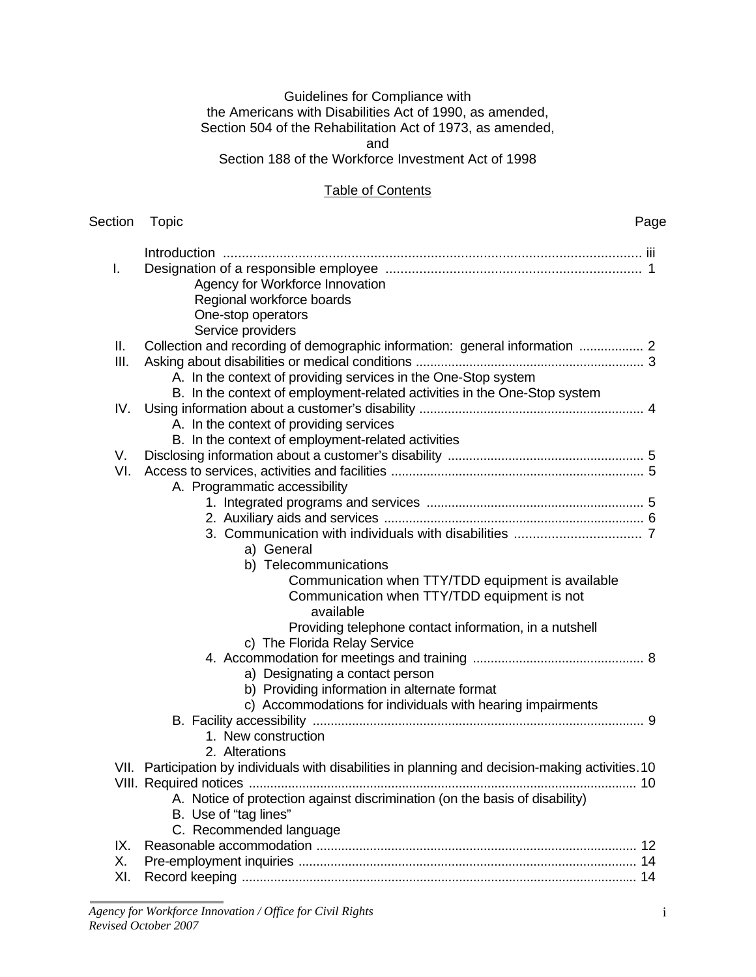## Guidelines for Compliance with the Americans with Disabilities Act of 1990, as amended, Section 504 of the Rehabilitation Act of 1973, as amended, and

Section 188 of the Workforce Investment Act of 1998

## **Table of Contents**

| Section | Topic                                                                                              | Page |
|---------|----------------------------------------------------------------------------------------------------|------|
| I.      |                                                                                                    |      |
|         | Agency for Workforce Innovation                                                                    |      |
|         | Regional workforce boards                                                                          |      |
|         | One-stop operators                                                                                 |      |
|         | Service providers                                                                                  |      |
| Ш.      | Collection and recording of demographic information: general information  2                        |      |
| Ш.      |                                                                                                    |      |
|         | A. In the context of providing services in the One-Stop system                                     |      |
|         | B. In the context of employment-related activities in the One-Stop system                          |      |
| IV.     |                                                                                                    |      |
|         | A. In the context of providing services                                                            |      |
|         | B. In the context of employment-related activities                                                 |      |
| V.      |                                                                                                    |      |
| VI.     |                                                                                                    |      |
|         | A. Programmatic accessibility                                                                      |      |
|         |                                                                                                    |      |
|         |                                                                                                    |      |
|         |                                                                                                    |      |
|         | a) General                                                                                         |      |
|         | b) Telecommunications                                                                              |      |
|         | Communication when TTY/TDD equipment is available                                                  |      |
|         | Communication when TTY/TDD equipment is not<br>available                                           |      |
|         |                                                                                                    |      |
|         | Providing telephone contact information, in a nutshell<br>c) The Florida Relay Service             |      |
|         |                                                                                                    |      |
|         | a) Designating a contact person                                                                    |      |
|         | b) Providing information in alternate format                                                       |      |
|         | c) Accommodations for individuals with hearing impairments                                         |      |
|         |                                                                                                    |      |
|         | 1. New construction                                                                                |      |
|         | 2. Alterations                                                                                     |      |
|         | VII. Participation by individuals with disabilities in planning and decision-making activities. 10 |      |
|         |                                                                                                    |      |
|         | A. Notice of protection against discrimination (on the basis of disability)                        |      |
|         | B. Use of "tag lines"                                                                              |      |
|         | C. Recommended language                                                                            |      |
| IX.     |                                                                                                    |      |
| Χ.      |                                                                                                    |      |
| XI.     |                                                                                                    |      |
|         |                                                                                                    |      |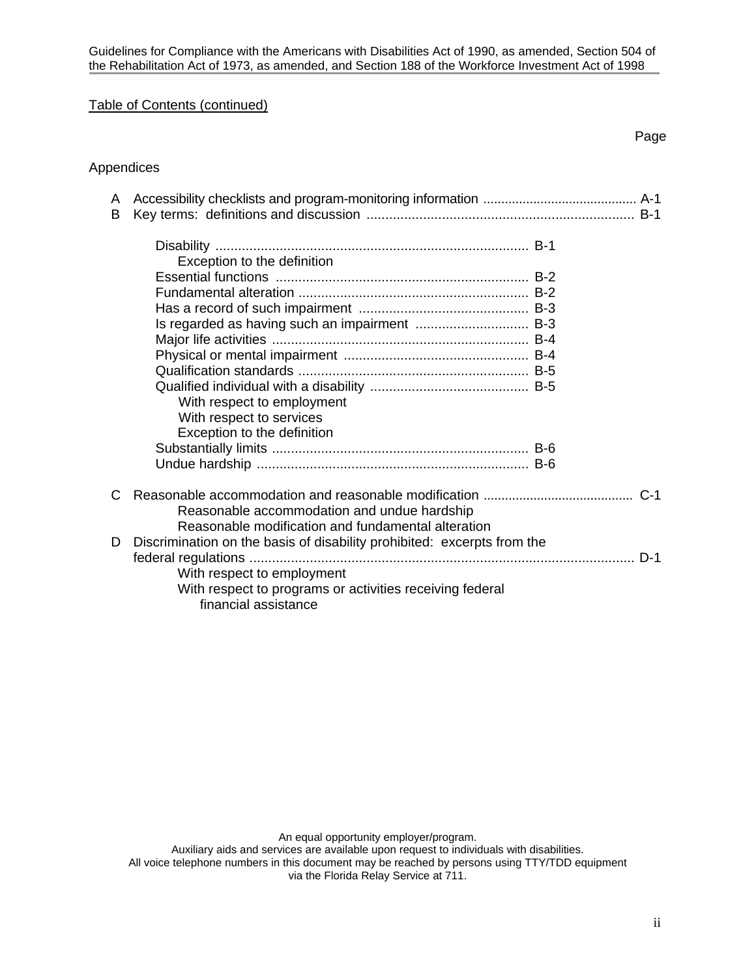## Table of Contents (continued)

## Appendices

| A<br>B |                                                                         |
|--------|-------------------------------------------------------------------------|
|        | Exception to the definition                                             |
|        |                                                                         |
|        |                                                                         |
|        |                                                                         |
|        | Is regarded as having such an impairment  B-3                           |
|        |                                                                         |
|        |                                                                         |
|        |                                                                         |
|        |                                                                         |
|        | With respect to employment                                              |
|        | With respect to services                                                |
|        | Exception to the definition                                             |
|        |                                                                         |
|        |                                                                         |
| C      |                                                                         |
|        | Reasonable accommodation and undue hardship                             |
|        | Reasonable modification and fundamental alteration                      |
| D      | Discrimination on the basis of disability prohibited: excerpts from the |
|        |                                                                         |
|        | With respect to employment                                              |
|        | With respect to programs or activities receiving federal                |
|        | financial assistance                                                    |

An equal opportunity employer/program.

Auxiliary aids and services are available upon request to individuals with disabilities.

All voice telephone numbers in this document may be reached by persons using TTY/TDD equipment via the Florida Relay Service at 711.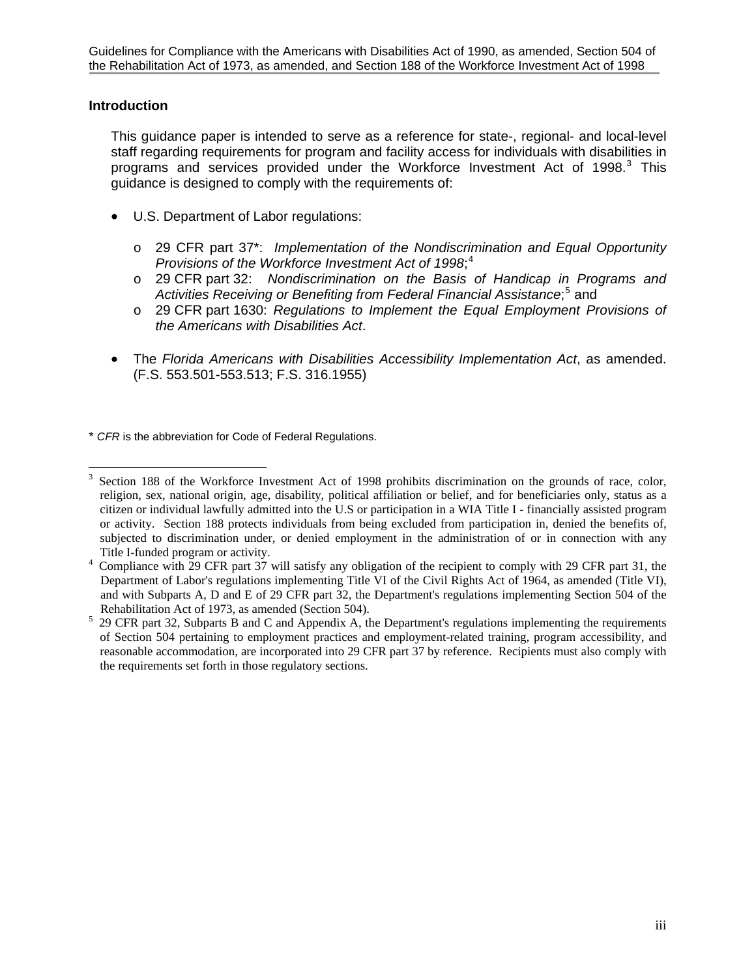## **Introduction**

This guidance paper is intended to serve as a reference for state-, regional- and local-level staff regarding requirements for program and facility access for individuals with disabilities in programs and services provided under the Workforce Investment Act of 1998. $3$  This guidance is designed to comply with the requirements of:

- U.S. Department of Labor regulations:
	- o 29 CFR part 37\*: *Implementation of the Nondiscrimination and Equal Opportunity Provisions of the Workforce Investment Act of 1998*; [4](#page-4-1)
	- o 29 CFR part 32: *Nondiscrimination on the Basis of Handicap in Programs and*  Activities Receiving or Benefiting from Federal Financial Assistance;<sup>[5](#page-4-2)</sup> and
	- o 29 CFR part 1630: *Regulations to Implement the Equal Employment Provisions of the Americans with Disabilities Act*.
- The *Florida Americans with Disabilities Accessibility Implementation Act*, as amended. (F.S. 553.501-553.513; F.S. 316.1955)

\* *CFR* is the abbreviation for Code of Federal Regulations.

<span id="page-4-0"></span> $\overline{a}$ 3 Section 188 of the Workforce Investment Act of 1998 prohibits discrimination on the grounds of race, color, religion, sex, national origin, age, disability, political affiliation or belief, and for beneficiaries only, status as a citizen or individual lawfully admitted into the U.S or participation in a WIA Title I - financially assisted program or activity. Section 188 protects individuals from being excluded from participation in, denied the benefits of, subjected to discrimination under, or denied employment in the administration of or in connection with any Title I-funded program or activity. 4

<span id="page-4-1"></span>Compliance with 29 CFR part 37 will satisfy any obligation of the recipient to comply with 29 CFR part 31, the Department of Labor's regulations implementing Title VI of the Civil Rights Act of 1964, as amended (Title VI), and with Subparts A, D and E of 29 CFR part 32, the Department's regulations implementing Section 504 of the Rehabilitation Act of 1973, as amended (Section 504).<br>5. 20 CEP part 32. Subparts B and C and Appardix A, the

<span id="page-4-2"></span> <sup>29</sup> CFR part 32, Subparts B and C and Appendix A, the Department's regulations implementing the requirements of Section 504 pertaining to employment practices and employment-related training, program accessibility, and reasonable accommodation, are incorporated into 29 CFR part 37 by reference. Recipients must also comply with the requirements set forth in those regulatory sections.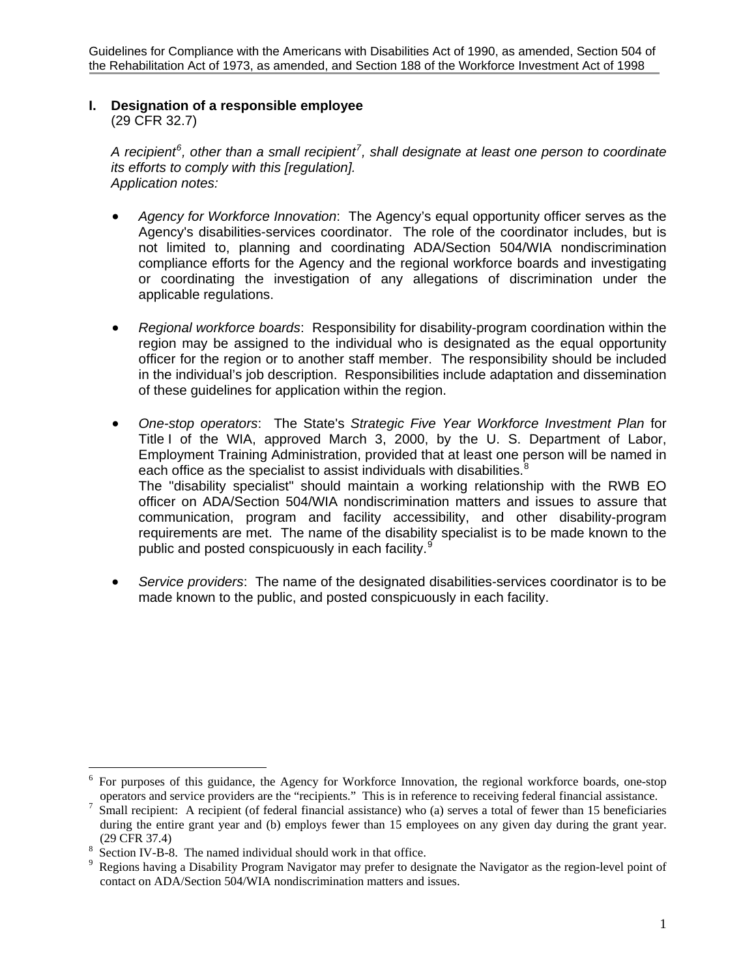# **I. Designation of a responsible employee**

(29 CFR 32.7)

*A recipient[6](#page-5-0) , other than a small recipient[7](#page-5-1) , shall designate at least one person to coordinate its efforts to comply with this [regulation]. Application notes:*

- *Agency for Workforce Innovation*: The Agency's equal opportunity officer serves as the Agency's disabilities-services coordinator. The role of the coordinator includes, but is not limited to, planning and coordinating ADA/Section 504/WIA nondiscrimination compliance efforts for the Agency and the regional workforce boards and investigating or coordinating the investigation of any allegations of discrimination under the applicable regulations.
- *Regional workforce boards*: Responsibility for disability-program coordination within the region may be assigned to the individual who is designated as the equal opportunity officer for the region or to another staff member. The responsibility should be included in the individual's job description. Responsibilities include adaptation and dissemination of these guidelines for application within the region.
- *One-stop operators*: The State's *Strategic Five Year Workforce Investment Plan* for Title I of the WIA, approved March 3, 2000, by the U. S. Department of Labor, Employment Training Administration, provided that at least one person will be named in each office as the specialist to assist individuals with disabilities.<sup>[8](#page-5-2)</sup> The "disability specialist" should maintain a working relationship with the RWB EO officer on ADA/Section 504/WIA nondiscrimination matters and issues to assure that communication, program and facility accessibility, and other disability-program requirements are met. The name of the disability specialist is to be made known to the public and posted conspicuously in each facility.<sup>[9](#page-5-3)</sup>
- *Service providers*: The name of the designated disabilities-services coordinator is to be made known to the public, and posted conspicuously in each facility.

 $\overline{a}$ 

<span id="page-5-0"></span><sup>6</sup> For purposes of this guidance, the Agency for Workforce Innovation, the regional workforce boards, one-stop operators and service providers are the "recipients." This is in reference to receiving federal financial assistance. 7

<span id="page-5-1"></span>Small recipient: A recipient (of federal financial assistance) who (a) serves a total of fewer than 15 beneficiaries during the entire grant year and (b) employs fewer than 15 employees on any given day during the grant year.

<span id="page-5-2"></span><sup>(29</sup> CFR 37.4)<br><sup>8</sup> Section IV-B-8. The named individual should work in that office.<br><sup>9</sup> Beginne having a Disability Program Navigator may profer to deci-

<span id="page-5-3"></span>Regions having a Disability Program Navigator may prefer to designate the Navigator as the region-level point of contact on ADA/Section 504/WIA nondiscrimination matters and issues.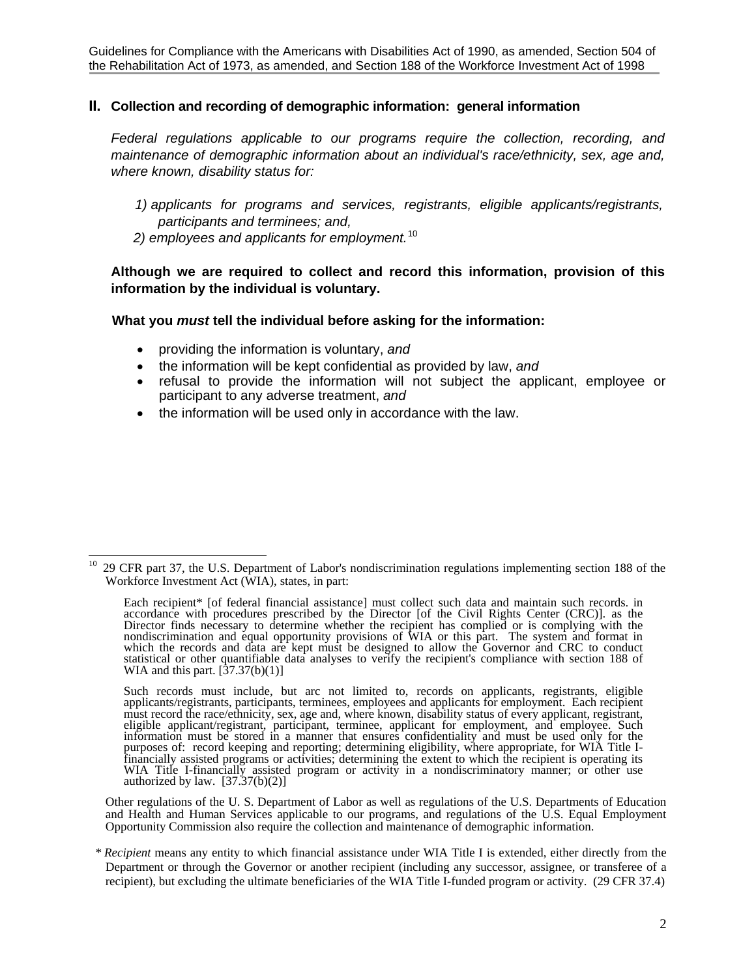Guidelines for Compliance with the Americans with Disabilities Act of 1990, as amended, Section 504 of the Rehabilitation Act of 1973, as amended, and Section 188 of the Workforce Investment Act of 1998

#### **II. Collection and recording of demographic information: general information**

*Federal regulations applicable to our programs require the collection, recording, and maintenance of demographic information about an individual's race/ethnicity, sex, age and, where known, disability status for:* 

- *1) applicants for programs and services, registrants, eligible applicants/registrants, participants and terminees; and,*
- *2) employees and applicants for employment.*[10](#page-6-0)

**Although we are required to collect and record this information, provision of this information by the individual is voluntary.** 

#### **What you** *must* **tell the individual before asking for the information:**

- providing the information is voluntary, *and*
- the information will be kept confidential as provided by law, *and*
- refusal to provide the information will not subject the applicant, employee or participant to any adverse treatment, *and*
- the information will be used only in accordance with the law.

Other regulations of the U. S. Department of Labor as well as regulations of the U.S. Departments of Education and Health and Human Services applicable to our programs, and regulations of the U.S. Equal Employment Opportunity Commission also require the collection and maintenance of demographic information.

<span id="page-6-0"></span> $10\,$ 10 29 CFR part 37, the U.S. Department of Labor's nondiscrimination regulations implementing section 188 of the Workforce Investment Act (WIA), states, in part:

Each recipient\* [of federal financial assistance] must collect such data and maintain such records. in accordance with procedures prescribed by the Director [of the Civil Rights Center (CRC)]. as the Director finds necessary to determine whether the recipient has complied or is complying with the nondiscrimination and equal opportunity provisions of WIA or this part. The system and format in which the records and data are kept must be designed to allow the Governor and CRC to conduct statistical or other quantifiable data analyses to verify the recipient's compliance with section 188 of WIA and this part.  $[37.37(b)(1)]$ 

Such records must include, but arc not limited to, records on applicants, registrants, eligible applicants/registrants, participants, terminees, employees and applicants for employment. Each recipient must record the race/ethnicity, sex, age and, where known, disability status of every applicant, registrant, eligible applicant/registrant, participant, terminee, applicant for employment, and employee. Such information must be stored in a manner that ensures confidentiality and must be used only for the purposes of: record keeping and reporting; determining eligibility, where appropriate, for WIA Title Ifinancially assisted programs or activities; determining the extent to which the recipient is operating its WIA Title I-financially assisted program or activity in a nondiscriminatory manner; or other use authorized by law.  $[37.37(b)(2)]$ 

 *<sup>\*</sup> Recipient* means any entity to which financial assistance under WIA Title I is extended, either directly from the Department or through the Governor or another recipient (including any successor, assignee, or transferee of a recipient), but excluding the ultimate beneficiaries of the WIA Title I-funded program or activity. (29 CFR 37.4)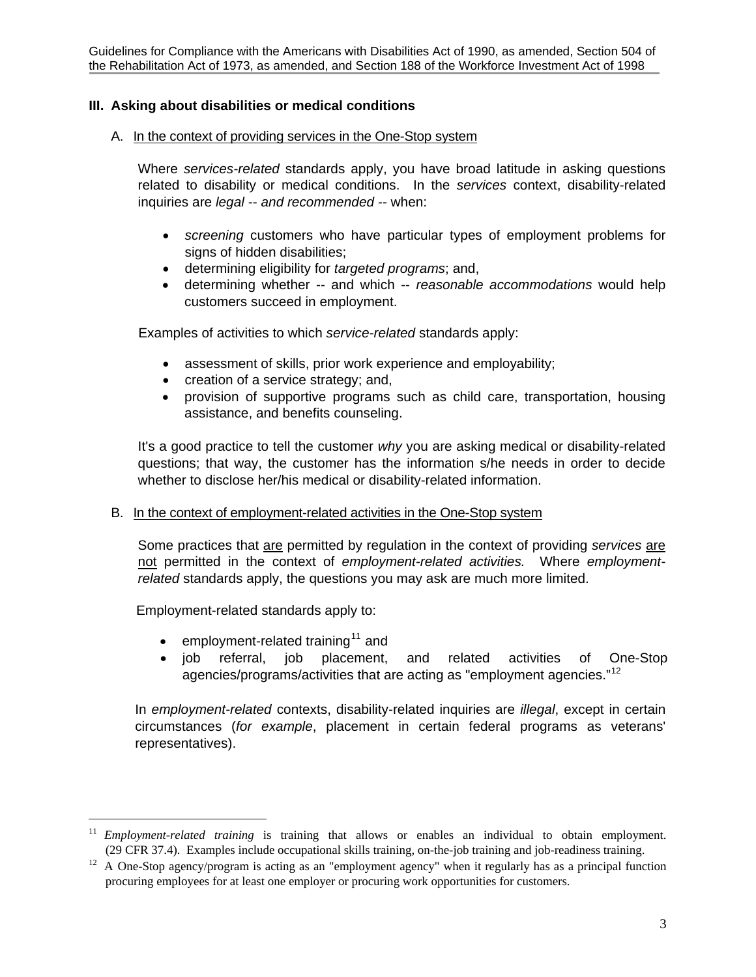## **III. Asking about disabilities or medical conditions**

## A. In the context of providing services in the One-Stop system

Where *services-related* standards apply, you have broad latitude in asking questions related to disability or medical conditions. In the *services* context, disability-related inquiries are *legal* -- *and recommended --* when:

- *screening* customers who have particular types of employment problems for signs of hidden disabilities;
- determining eligibility for *targeted programs*; and,
- determining whether -- and which -- *reasonable accommodations* would help customers succeed in employment.

Examples of activities to which *service-related* standards apply:

- assessment of skills, prior work experience and employability;
- creation of a service strategy; and,
- provision of supportive programs such as child care, transportation, housing assistance, and benefits counseling.

It's a good practice to tell the customer *why* you are asking medical or disability-related questions; that way, the customer has the information s/he needs in order to decide whether to disclose her/his medical or disability-related information.

## B. In the context of employment-related activities in the One-Stop system

Some practices that are permitted by regulation in the context of providing *services* are not permitted in the context of *employment-related activities.* Where *employmentrelated* standards apply, the questions you may ask are much more limited.

Employment-related standards apply to:

 $\overline{a}$ 

- employment-related training<sup>[11](#page-7-0)</sup> and
- job referral, job placement, and related activities of One-Stop agencies/programs/activities that are acting as "employment agencies."<sup>[12](#page-7-1)</sup>

In *employment-related* contexts, disability-related inquiries are *illegal*, except in certain circumstances (*for example*, placement in certain federal programs as veterans' representatives).

<span id="page-7-0"></span><sup>11</sup> *Employment-related training* is training that allows or enables an individual to obtain employment.

<span id="page-7-1"></span><sup>(29</sup> CFR 37.4). Examples include occupational skills training, on-the-job training and job-readiness training. 12 A One-Stop agency/program is acting as an "employment agency" when it regularly has as a principal function procuring employees for at least one employer or procuring work opportunities for customers.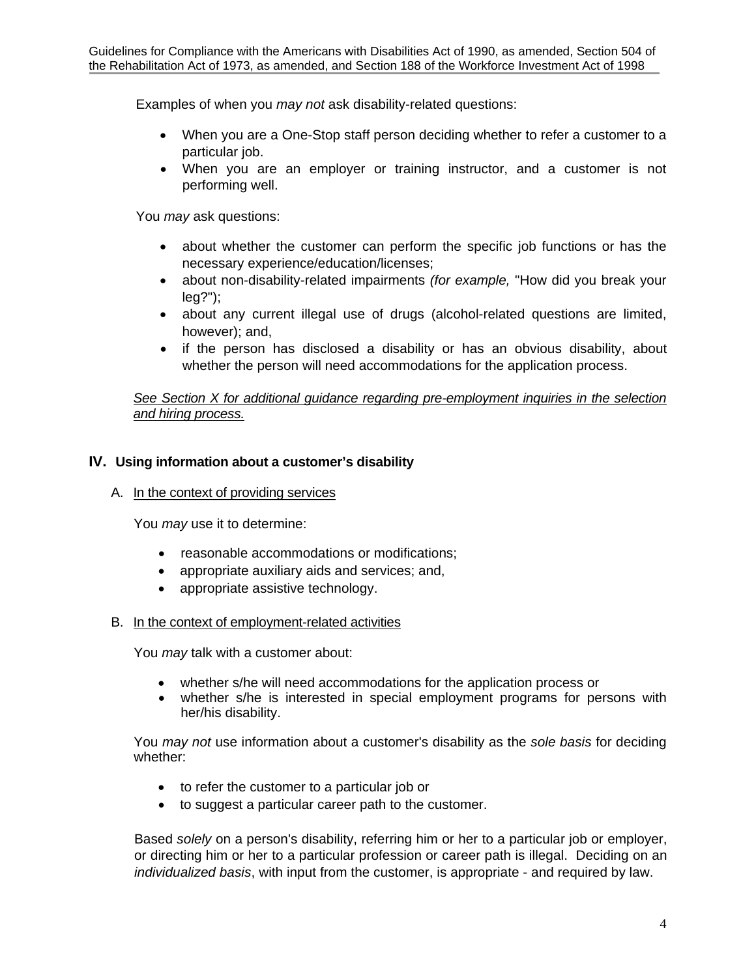Examples of when you *may not* ask disability-related questions:

- When you are a One-Stop staff person deciding whether to refer a customer to a particular job.
- When you are an employer or training instructor, and a customer is not performing well.

You *may* ask questions:

- about whether the customer can perform the specific job functions or has the necessary experience/education/licenses;
- about non-disability-related impairments *(for example,* "How did you break your leg?");
- about any current illegal use of drugs (alcohol-related questions are limited, however); and,
- if the person has disclosed a disability or has an obvious disability, about whether the person will need accommodations for the application process.

*See Section X for additional guidance regarding pre-employment inquiries in the selection and hiring process.* 

## **IV. Using information about a customer's disability**

## A. In the context of providing services

You *may* use it to determine:

- reasonable accommodations or modifications;
- appropriate auxiliary aids and services; and,
- appropriate assistive technology.

#### B. In the context of employment-related activities

You *may* talk with a customer about:

- whether s/he will need accommodations for the application process or
- whether s/he is interested in special employment programs for persons with her/his disability.

You *may not* use information about a customer's disability as the *sole basis* for deciding whether:

- to refer the customer to a particular job or
- to suggest a particular career path to the customer.

Based *solely* on a person's disability, referring him or her to a particular job or employer, or directing him or her to a particular profession or career path is illegal. Deciding on an *individualized basis*, with input from the customer, is appropriate - and required by law.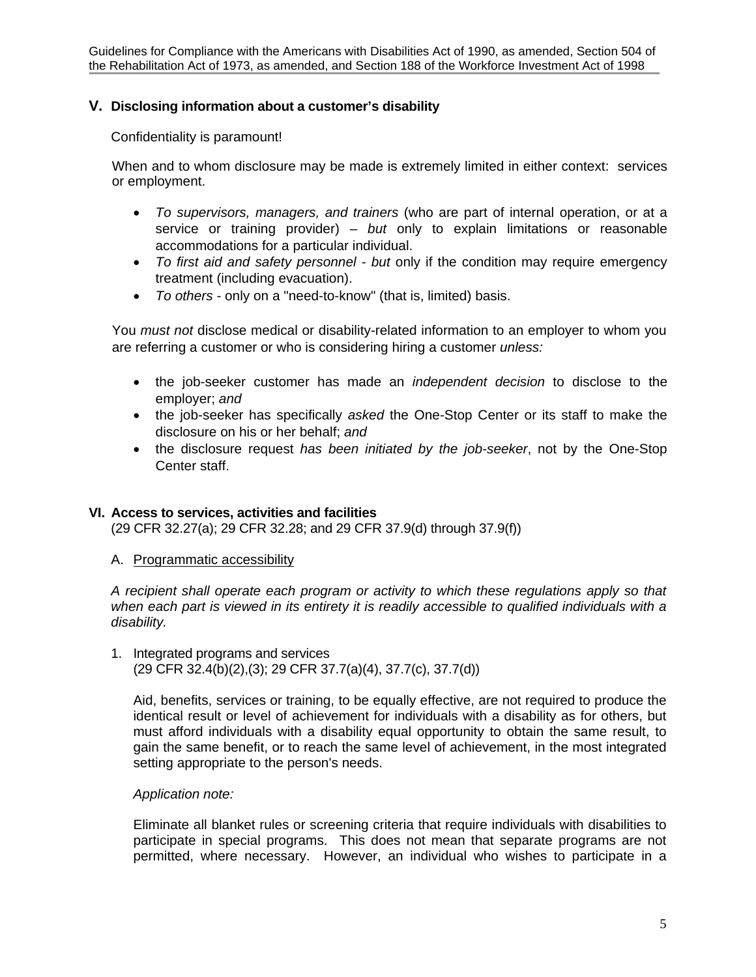## **V. Disclosing information about a customer's disability**

Confidentiality is paramount!

When and to whom disclosure may be made is extremely limited in either context: services or employment.

- *To supervisors, managers, and trainers* (who are part of internal operation, or at a service or training provider) – *but* only to explain limitations or reasonable accommodations for a particular individual.
- *To first aid and safety personnel but* only if the condition may require emergency treatment (including evacuation).
- *To others*  only on a "need-to-know" (that is, limited) basis.

You *must not* disclose medical or disability-related information to an employer to whom you are referring a customer or who is considering hiring a customer *unless:* 

- the job-seeker customer has made an *independent decision* to disclose to the employer; *and*
- the job-seeker has specifically *asked* the One-Stop Center or its staff to make the disclosure on his or her behalf; *and*
- the disclosure request *has been initiated by the job-seeker*, not by the One-Stop Center staff.

#### **VI. Access to services, activities and facilities**

(29 CFR 32.27(a); 29 CFR 32.28; and 29 CFR 37.9(d) through 37.9(f))

A. Programmatic accessibility

*A recipient shall operate each program or activity to which these regulations apply so that when each part is viewed in its entirety it is readily accessible to qualified individuals with a disability.* 

1. Integrated programs and services (29 CFR 32.4(b)(2),(3); 29 CFR 37.7(a)(4), 37.7(c), 37.7(d))

Aid, benefits, services or training, to be equally effective, are not required to produce the identical result or level of achievement for individuals with a disability as for others, but must afford individuals with a disability equal opportunity to obtain the same result, to gain the same benefit, or to reach the same level of achievement, in the most integrated setting appropriate to the person's needs.

## *Application note:*

Eliminate all blanket rules or screening criteria that require individuals with disabilities to participate in special programs. This does not mean that separate programs are not permitted, where necessary. However, an individual who wishes to participate in a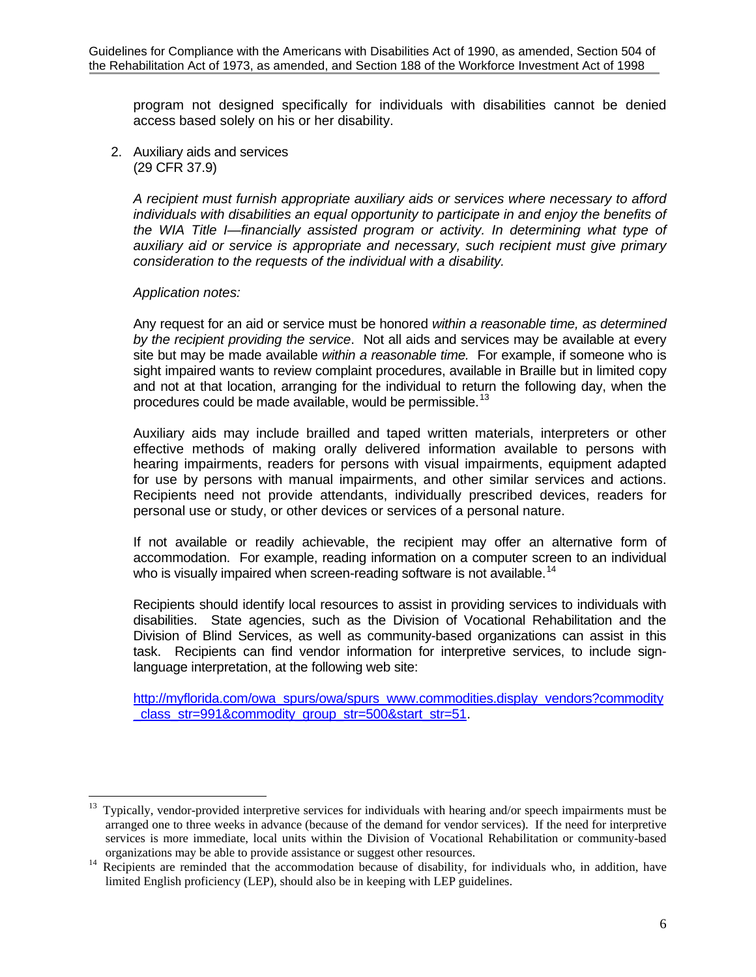program not designed specifically for individuals with disabilities cannot be denied access based solely on his or her disability.

2. Auxiliary aids and services (29 CFR 37.9)

> *A recipient must furnish appropriate auxiliary aids or services where necessary to afford individuals with disabilities an equal opportunity to participate in and enjoy the benefits of the WIA Title I—financially assisted program or activity. In determining what type of auxiliary aid or service is appropriate and necessary, such recipient must give primary consideration to the requests of the individual with a disability.*

### *Application notes:*

Any request for an aid or service must be honored *within a reasonable time, as determined by the recipient providing the service*. Not all aids and services may be available at every site but may be made available *within a reasonable time.* For example, if someone who is sight impaired wants to review complaint procedures, available in Braille but in limited copy and not at that location, arranging for the individual to return the following day, when the procedures could be made available, would be permissible.<sup>[13](#page-10-0)</sup>

Auxiliary aids may include brailled and taped written materials, interpreters or other effective methods of making orally delivered information available to persons with hearing impairments, readers for persons with visual impairments, equipment adapted for use by persons with manual impairments, and other similar services and actions. Recipients need not provide attendants, individually prescribed devices, readers for personal use or study, or other devices or services of a personal nature.

If not available or readily achievable, the recipient may offer an alternative form of accommodation. For example, reading information on a computer screen to an individual who is visually impaired when screen-reading software is not available.<sup>[14](#page-10-1)</sup>

Recipients should identify local resources to assist in providing services to individuals with disabilities. State agencies, such as the Division of Vocational Rehabilitation and the Division of Blind Services, as well as community-based organizations can assist in this task. Recipients can find vendor information for interpretive services, to include signlanguage interpretation, at the following web site:

[http://myflorida.com/owa\\_spurs/owa/spurs\\_www.commodities.display\\_vendors?commodity](http://myflorida.com/owa_spurs/owa/spurs_www.commodities.display_vendors?commodity_class_str=991&commodity_group_str=500&start_str=51) class\_str=991&commodity\_group\_str=500&start\_str=51.

<span id="page-10-0"></span> $13\,$ 13 Typically, vendor-provided interpretive services for individuals with hearing and/or speech impairments must be arranged one to three weeks in advance (because of the demand for vendor services). If the need for interpretive services is more immediate, local units within the Division of Vocational Rehabilitation or community-based

<span id="page-10-1"></span>organizations may be able to provide assistance or suggest other resources.<br><sup>14</sup> Recipients are reminded that the accommodation because of disability, for individuals who, in addition, have limited English proficiency (LEP), should also be in keeping with LEP guidelines.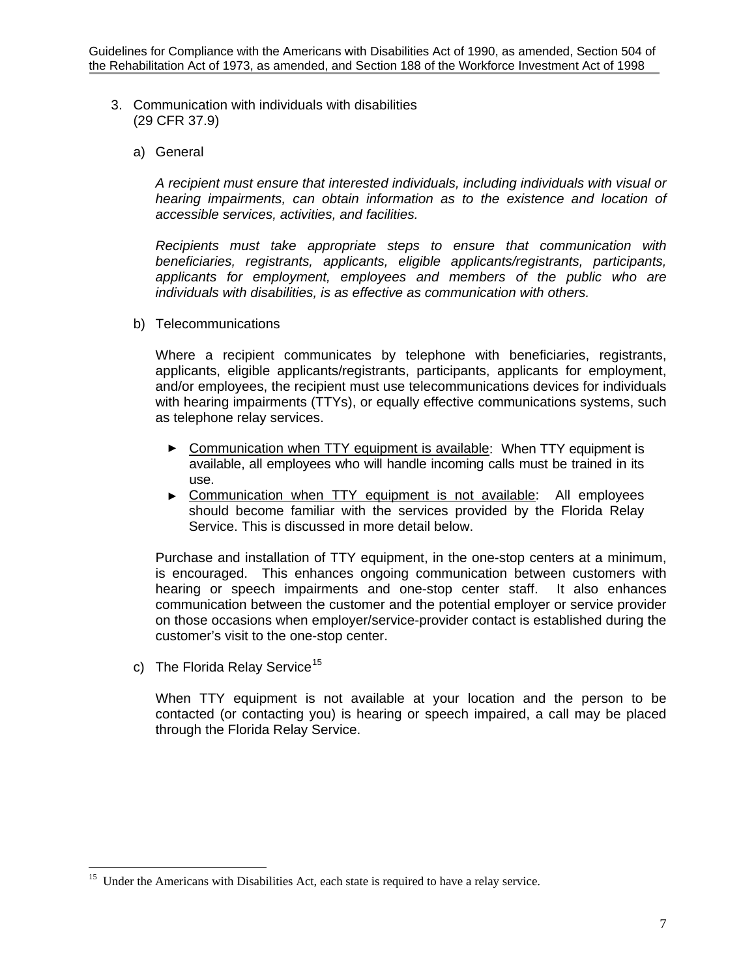- 3. Communication with individuals with disabilities (29 CFR 37.9)
	- a) General

*A recipient must ensure that interested individuals, including individuals with visual or hearing impairments, can obtain information as to the existence and location of accessible services, activities, and facilities.*

*Recipients must take appropriate steps to ensure that communication with beneficiaries, registrants, applicants, eligible applicants/registrants, participants, applicants for employment, employees and members of the public who are individuals with disabilities, is as effective as communication with others.* 

b) Telecommunications

Where a recipient communicates by telephone with beneficiaries, registrants, applicants, eligible applicants/registrants, participants, applicants for employment, and/or employees, the recipient must use telecommunications devices for individuals with hearing impairments (TTYs), or equally effective communications systems, such as telephone relay services.

- ► Communication when TTY equipment is available: When TTY equipment is available, all employees who will handle incoming calls must be trained in its use.
- Communication when TTY equipment is not available: All employees should become familiar with the services provided by the Florida Relay Service. This is discussed in more detail below.

Purchase and installation of TTY equipment, in the one-stop centers at a minimum, is encouraged. This enhances ongoing communication between customers with hearing or speech impairments and one-stop center staff. It also enhances communication between the customer and the potential employer or service provider on those occasions when employer/service-provider contact is established during the customer's visit to the one-stop center.

c) The Florida Relay Service<sup>[15](#page-11-0)</sup>

 $\overline{a}$ 

When TTY equipment is not available at your location and the person to be contacted (or contacting you) is hearing or speech impaired, a call may be placed through the Florida Relay Service.

<span id="page-11-0"></span><sup>&</sup>lt;sup>15</sup> Under the Americans with Disabilities Act, each state is required to have a relay service.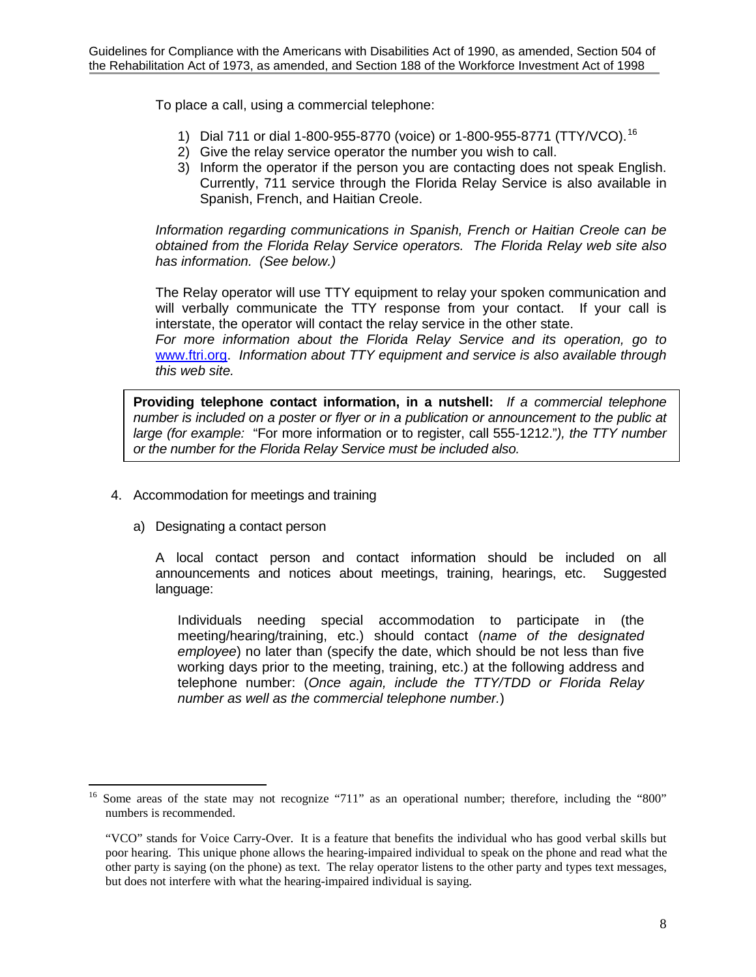To place a call, using a commercial telephone:

- 1) Dial 711 or dial 1-800-955-8770 (voice) or 1-800-955-8771 (TTY/VCO).[16](#page-12-0)
- 2) Give the relay service operator the number you wish to call.
- 3) Inform the operator if the person you are contacting does not speak English. Currently, 711 service through the Florida Relay Service is also available in Spanish, French, and Haitian Creole.

*Information regarding communications in Spanish, French or Haitian Creole can be obtained from the Florida Relay Service operators. The Florida Relay web site also has information. (See below.)* 

The Relay operator will use TTY equipment to relay your spoken communication and will verbally communicate the TTY response from your contact. If your call is interstate, the operator will contact the relay service in the other state.

*For more information about the Florida Relay Service and its operation, go to*  [www.ftri.org](http://www.ftri.org/). *Information about TTY equipment and service is also available through this web site.* 

**Providing telephone contact information, in a nutshell:** *If a commercial telephone number is included on a poster or flyer or in a publication or announcement to the public at large (for example:* "For more information or to register, call 555-1212."*), the TTY number or the number for the Florida Relay Service must be included also.*

- 4. Accommodation for meetings and training
	- a) Designating a contact person

 $\overline{a}$ 

A local contact person and contact information should be included on all announcements and notices about meetings, training, hearings, etc. Suggested language:

Individuals needing special accommodation to participate in (the meeting/hearing/training, etc.) should contact (*name of the designated employee*) no later than (specify the date, which should be not less than five working days prior to the meeting, training, etc.) at the following address and telephone number: (*Once again, include the TTY/TDD or Florida Relay number as well as the commercial telephone number.*)

<span id="page-12-0"></span><sup>16</sup> Some areas of the state may not recognize "711" as an operational number; therefore, including the "800" numbers is recommended.

<sup>&</sup>quot;VCO" stands for Voice Carry-Over. It is a feature that benefits the individual who has good verbal skills but poor hearing. This unique phone allows the hearing-impaired individual to speak on the phone and read what the other party is saying (on the phone) as text. The relay operator listens to the other party and types text messages, but does not interfere with what the hearing-impaired individual is saying.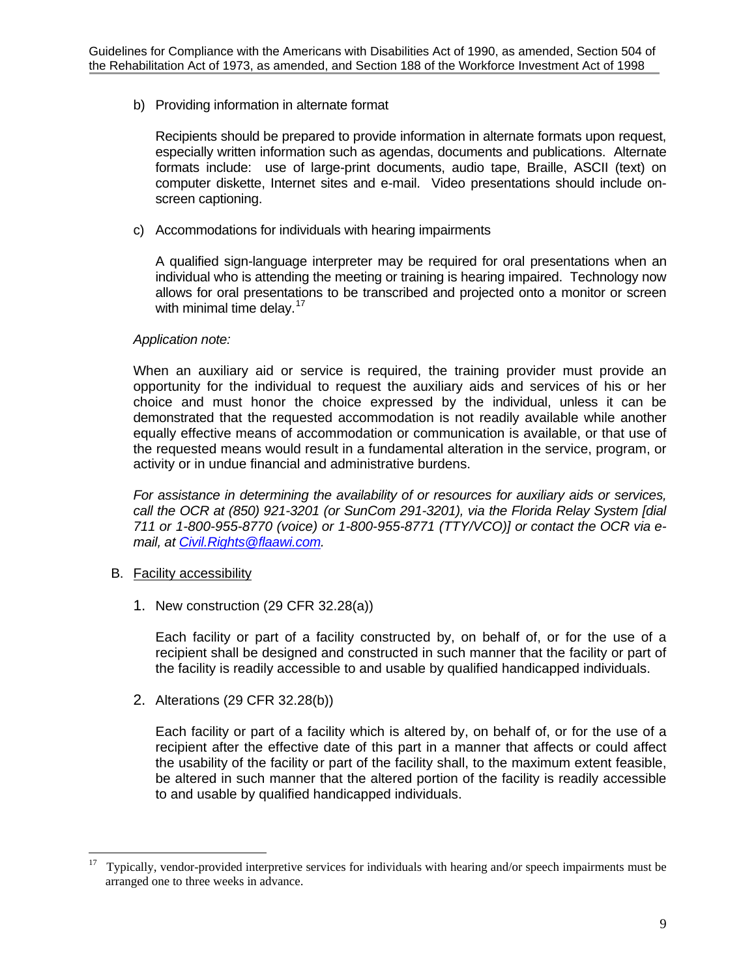b) Providing information in alternate format

Recipients should be prepared to provide information in alternate formats upon request, especially written information such as agendas, documents and publications. Alternate formats include: use of large-print documents, audio tape, Braille, ASCII (text) on computer diskette, Internet sites and e-mail. Video presentations should include onscreen captioning.

c) Accommodations for individuals with hearing impairments

A qualified sign-language interpreter may be required for oral presentations when an individual who is attending the meeting or training is hearing impaired. Technology now allows for oral presentations to be transcribed and projected onto a monitor or screen with minimal time delay.  $17<sup>17</sup>$  $17<sup>17</sup>$ 

### *Application note:*

When an auxiliary aid or service is required, the training provider must provide an opportunity for the individual to request the auxiliary aids and services of his or her choice and must honor the choice expressed by the individual, unless it can be demonstrated that the requested accommodation is not readily available while another equally effective means of accommodation or communication is available, or that use of the requested means would result in a fundamental alteration in the service, program, or activity or in undue financial and administrative burdens.

*For assistance in determining the availability of or resources for auxiliary aids or services, call the OCR at (850) 921-3201 (or SunCom 291-3201), via the Florida Relay System [dial 711 or 1-800-955-8770 (voice) or 1-800-955-8771 (TTY/VCO)] or contact the OCR via email, at [Civil.Rights@flaawi.com.](mailto:Civil.Rights@awi.state.fl.us)* 

- B. Facility accessibility
	- 1. New construction (29 CFR 32.28(a))

Each facility or part of a facility constructed by, on behalf of, or for the use of a recipient shall be designed and constructed in such manner that the facility or part of the facility is readily accessible to and usable by qualified handicapped individuals.

2. Alterations (29 CFR 32.28(b))

Each facility or part of a facility which is altered by, on behalf of, or for the use of a recipient after the effective date of this part in a manner that affects or could affect the usability of the facility or part of the facility shall, to the maximum extent feasible, be altered in such manner that the altered portion of the facility is readily accessible to and usable by qualified handicapped individuals.

<span id="page-13-0"></span><sup>17</sup> 17 Typically, vendor-provided interpretive services for individuals with hearing and/or speech impairments must be arranged one to three weeks in advance.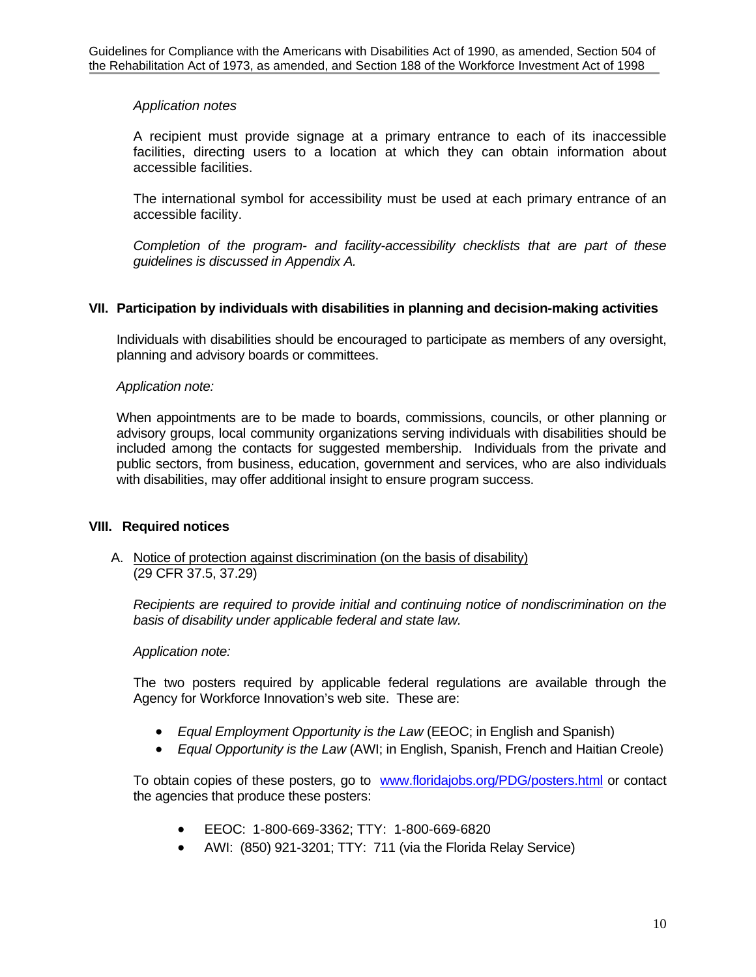## *Application notes*

A recipient must provide signage at a primary entrance to each of its inaccessible facilities, directing users to a location at which they can obtain information about accessible facilities.

The international symbol for accessibility must be used at each primary entrance of an accessible facility.

*Completion of the program- and facility-accessibility checklists that are part of these guidelines is discussed in Appendix A.* 

### **VII. Participation by individuals with disabilities in planning and decision-making activities**

Individuals with disabilities should be encouraged to participate as members of any oversight, planning and advisory boards or committees.

#### *Application note:*

When appointments are to be made to boards, commissions, councils, or other planning or advisory groups, local community organizations serving individuals with disabilities should be included among the contacts for suggested membership. Individuals from the private and public sectors, from business, education, government and services, who are also individuals with disabilities, may offer additional insight to ensure program success.

#### **VIII. Required notices**

### A. Notice of protection against discrimination (on the basis of disability) (29 CFR 37.5, 37.29)

*Recipients are required to provide initial and continuing notice of nondiscrimination on the basis of disability under applicable federal and state law.*

#### *Application note:*

The two posters required by applicable federal regulations are available through the Agency for Workforce Innovation's web site. These are:

- *Equal Employment Opportunity is the Law* (EEOC; in English and Spanish)
- *Equal Opportunity is the Law* (AWI; in English, Spanish, French and Haitian Creole)

To obtain copies of these posters, go to [www.floridajobs.org/PDG/posters.html](http://www.floridajobs.org/PDG/posters.html) or contact the agencies that produce these posters:

- EEOC: 1-800-669-3362; TTY: 1-800-669-6820
- AWI: (850) 921-3201; TTY: 711 (via the Florida Relay Service)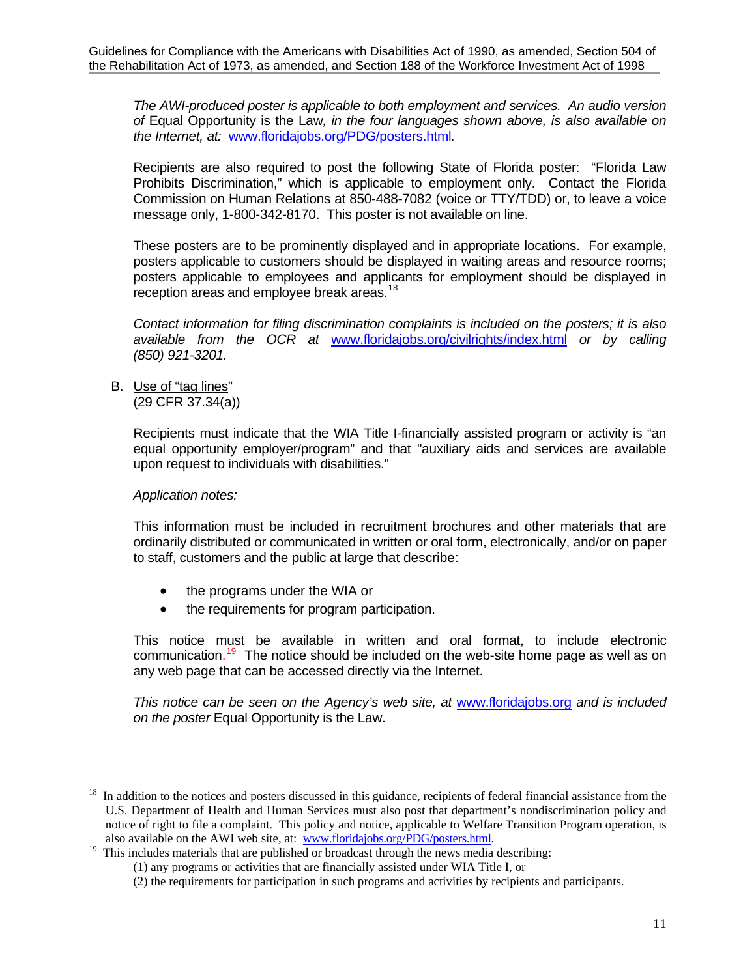*The AWI-produced poster is applicable to both employment and services. An audio version of* Equal Opportunity is the Law*, in the four languages shown above, is also available on the Internet, at:* [www.floridajobs.org/PDG/posters.html](http://www.floridajobs.org/PDG/posters.html)*.* 

Recipients are also required to post the following State of Florida poster: "Florida Law Prohibits Discrimination," which is applicable to employment only. Contact the Florida Commission on Human Relations at 850-488-7082 (voice or TTY/TDD) or, to leave a voice message only, 1-800-342-8170. This poster is not available on line.

These posters are to be prominently displayed and in appropriate locations. For example, posters applicable to customers should be displayed in waiting areas and resource rooms; posters applicable to employees and applicants for employment should be displayed in reception areas and employee break areas.<sup>[18](#page-15-0)</sup>

*Contact information for filing discrimination complaints is included on the posters; it is also available from the OCR at* [www.floridajobs.org/civilrights/index.html](http://www.floridajobs.org/civilrights/index.html) *or by calling (850) 921-3201.* 

B. Use of "tag lines" (29 CFR 37.34(a))

> Recipients must indicate that the WIA Title I-financially assisted program or activity is "an equal opportunity employer/program" and that "auxiliary aids and services are available upon request to individuals with disabilities."

## *Application notes:*

This information must be included in recruitment brochures and other materials that are ordinarily distributed or communicated in written or oral form, electronically, and/or on paper to staff, customers and the public at large that describe:

- the programs under the WIA or
- the requirements for program participation.

This notice must be available in written and oral format, to include electronic communication.<sup>[19](#page-15-1)</sup> The notice should be included on the web-site home page as well as on any web page that can be accessed directly via the Internet.

*This notice can be seen on the Agency's web site, at* [www.floridajobs.org](http://www.floridajobs.org/) *and is included on the poster* Equal Opportunity is the Law.

<span id="page-15-0"></span> $18\,$ 18 In addition to the notices and posters discussed in this guidance, recipients of federal financial assistance from the U.S. Department of Health and Human Services must also post that department's nondiscrimination policy and notice of right to file a complaint. This policy and notice, applicable to Welfare Transition Program operation, is

<span id="page-15-1"></span>also available on the AWI web site, at: [www.floridajobs.org/PDG/posters.html](http://www.floridajobs.org/PDG/posters.html).<br><sup>19</sup> This includes materials that are published or broadcast through the news media describing:

<sup>(1)</sup> any programs or activities that are financially assisted under WIA Title I, or

<sup>(2)</sup> the requirements for participation in such programs and activities by recipients and participants.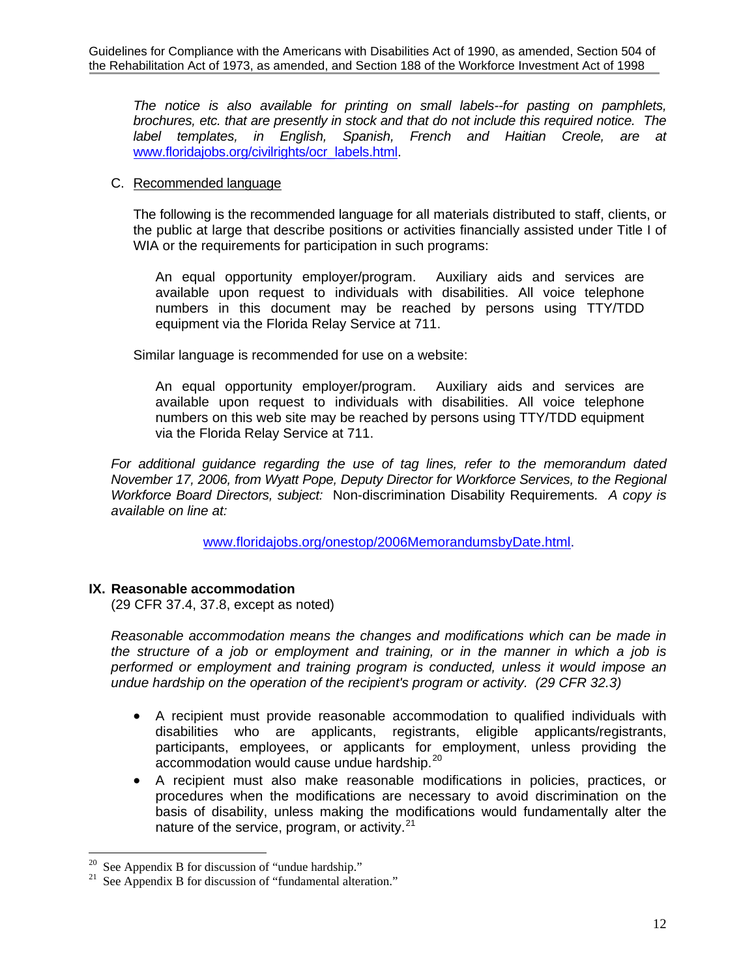*The notice is also available for printing on small labels--for pasting on pamphlets, brochures, etc. that are presently in stock and that do not include this required notice. The label templates, in English, Spanish, French and Haitian Creole, are at* [www.floridajobs.org/civilrights/ocr\\_labels.html](http://www.floridajobs.org/civilrights/ocr_labels.html).

### C. Recommended language

The following is the recommended language for all materials distributed to staff, clients, or the public at large that describe positions or activities financially assisted under Title I of WIA or the requirements for participation in such programs:

An equal opportunity employer/program. Auxiliary aids and services are available upon request to individuals with disabilities. All voice telephone numbers in this document may be reached by persons using TTY/TDD equipment via the Florida Relay Service at 711.

Similar language is recommended for use on a website:

An equal opportunity employer/program. Auxiliary aids and services are available upon request to individuals with disabilities. All voice telephone numbers on this web site may be reached by persons using TTY/TDD equipment via the Florida Relay Service at 711.

*For additional guidance regarding the use of tag lines, refer to the memorandum dated November 17, 2006, from Wyatt Pope, Deputy Director for Workforce Services, to the Regional Workforce Board Directors, subject:* Non-discrimination Disability Requirements*. A copy is available on line at:* 

[www.floridajobs.org/onestop/2006MemorandumsbyDate.html](http://www.floridajobs.org/onestop/2006MemorandumsbyDate.html).

## **IX. Reasonable accommodation**

(29 CFR 37.4, 37.8, except as noted)

*Reasonable accommodation means the changes and modifications which can be made in the structure of a job or employment and training, or in the manner in which a job is performed or employment and training program is conducted, unless it would impose an undue hardship on the operation of the recipient's program or activity. (29 CFR 32.3)* 

- A recipient must provide reasonable accommodation to qualified individuals with disabilities who are applicants, registrants, eligible applicants/registrants, participants, employees, or applicants for employment, unless providing the accommodation would cause undue hardship.[20](#page-16-0)
- A recipient must also make reasonable modifications in policies, practices, or procedures when the modifications are necessary to avoid discrimination on the basis of disability, unless making the modifications would fundamentally alter the nature of the service, program, or activity. $21$

 $\overline{a}$ 

<span id="page-16-1"></span><span id="page-16-0"></span><sup>&</sup>lt;sup>20</sup> See Appendix B for discussion of "undue hardship."<br><sup>21</sup> See Appendix B for discussion of "fundamental alter

See Appendix B for discussion of "fundamental alteration."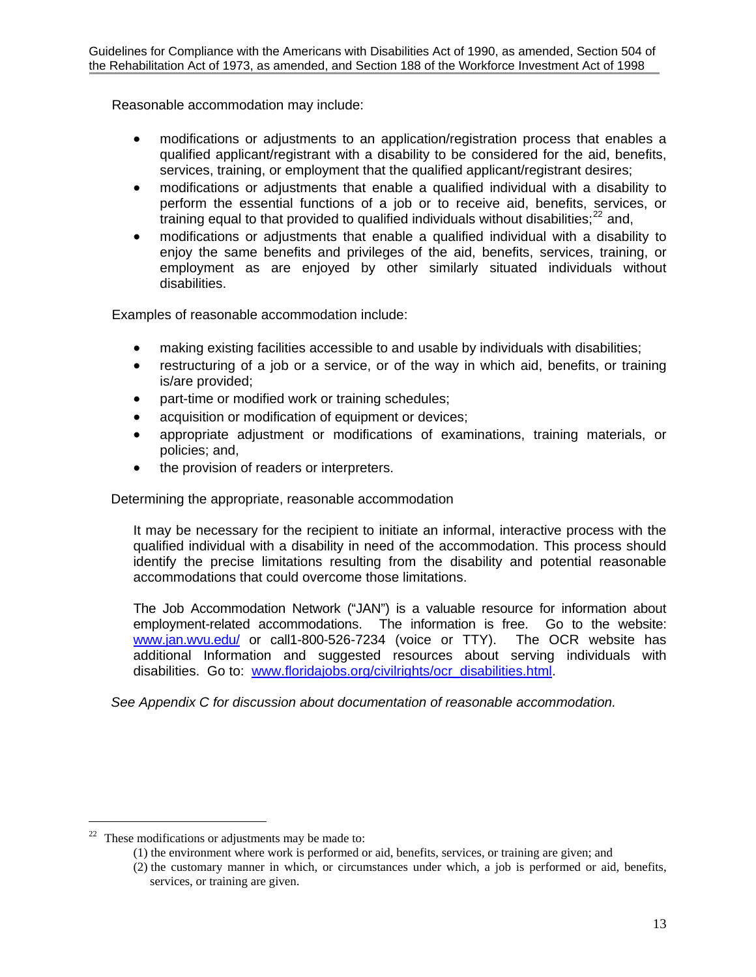Reasonable accommodation may include:

- modifications or adjustments to an application/registration process that enables a qualified applicant/registrant with a disability to be considered for the aid, benefits, services, training, or employment that the qualified applicant/registrant desires;
- modifications or adjustments that enable a qualified individual with a disability to perform the essential functions of a job or to receive aid, benefits, services, or training equal to that provided to qualified individuals without disabilities; $^{22}$  $^{22}$  $^{22}$  and,
- modifications or adjustments that enable a qualified individual with a disability to enjoy the same benefits and privileges of the aid, benefits, services, training, or employment as are enjoyed by other similarly situated individuals without disabilities.

Examples of reasonable accommodation include:

- making existing facilities accessible to and usable by individuals with disabilities;
- restructuring of a job or a service, or of the way in which aid, benefits, or training is/are provided;
- part-time or modified work or training schedules;
- acquisition or modification of equipment or devices;
- appropriate adjustment or modifications of examinations, training materials, or policies; and,
- the provision of readers or interpreters.

Determining the appropriate, reasonable accommodation

It may be necessary for the recipient to initiate an informal, interactive process with the qualified individual with a disability in need of the accommodation. This process should identify the precise limitations resulting from the disability and potential reasonable accommodations that could overcome those limitations.

The Job Accommodation Network ("JAN") is a valuable resource for information about employment-related accommodations. The information is free. Go to the website: [www.jan.wvu.edu/](http://www.jan.wvu.edu/) or call1-800-526-7234 (voice or TTY). The OCR website has additional Information and suggested resources about serving individuals with disabilities. Go to: [www.floridajobs.org/civilrights/ocr\\_disabilities.html](http://www.floridajobs.org/civilrights/ocr_disabilities.html).

*See Appendix C for discussion about documentation of reasonable accommodation.* 

 $\overline{a}$ 

<span id="page-17-0"></span> $22$  These modifications or adjustments may be made to:

<sup>(1)</sup> the environment where work is performed or aid, benefits, services, or training are given; and

<sup>(2)</sup> the customary manner in which, or circumstances under which, a job is performed or aid, benefits, services, or training are given.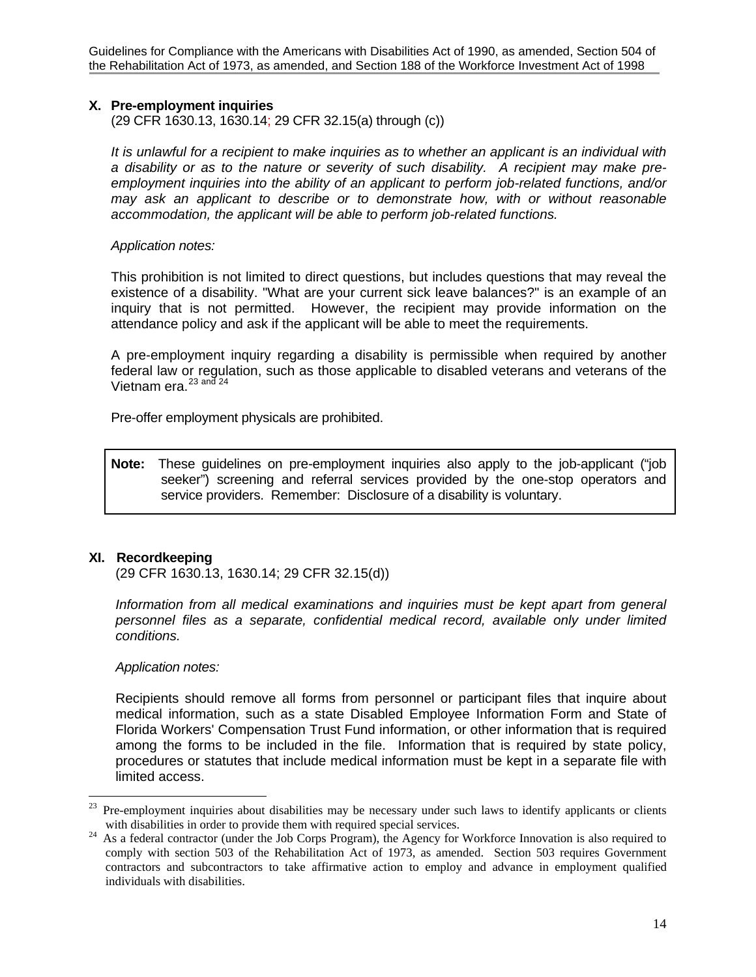Guidelines for Compliance with the Americans with Disabilities Act of 1990, as amended, Section 504 of the Rehabilitation Act of 1973, as amended, and Section 188 of the Workforce Investment Act of 1998

## **X. Pre-employment inquiries**

(29 CFR 1630.13, 1630.14; 29 CFR 32.15(a) through (c))

*It is unlawful for a recipient to make inquiries as to whether an applicant is an individual with a disability or as to the nature or severity of such disability. A recipient may make preemployment inquiries into the ability of an applicant to perform job-related functions, and/or may ask an applicant to describe or to demonstrate how, with or without reasonable accommodation, the applicant will be able to perform job-related functions.* 

#### *Application notes:*

This prohibition is not limited to direct questions, but includes questions that may reveal the existence of a disability. "What are your current sick leave balances?" is an example of an inquiry that is not permitted. However, the recipient may provide information on the attendance policy and ask if the applicant will be able to meet the requirements.

A pre-employment inquiry regarding a disability is permissible when required by another federal law or regulation, such as those applicable to disabled veterans and veterans of the Vietnam era.<sup>[23](#page-18-0) and 24</sup>

Pre-offer employment physicals are prohibited.

**Note:** These guidelines on pre-employment inquiries also apply to the job-applicant ("job seeker") screening and referral services provided by the one-stop operators and service providers. Remember: Disclosure of a disability is voluntary.

## **XI. Recordkeeping**

(29 CFR 1630.13, 1630.14; 29 CFR 32.15(d))

*Information from all medical examinations and inquiries must be kept apart from general personnel files as a separate, confidential medical record, available only under limited conditions.* 

#### *Application notes:*

Recipients should remove all forms from personnel or participant files that inquire about medical information, such as a state Disabled Employee Information Form and State of Florida Workers' Compensation Trust Fund information, or other information that is required among the forms to be included in the file. Information that is required by state policy, procedures or statutes that include medical information must be kept in a separate file with limited access.

<span id="page-18-0"></span> $23\,$ 23 Pre-employment inquiries about disabilities may be necessary under such laws to identify applicants or clients

<span id="page-18-1"></span>with disabilities in order to provide them with required special services.<br><sup>24</sup> As a federal contractor (under the Job Corps Program), the Agency for Workforce Innovation is also required to comply with section 503 of the Rehabilitation Act of 1973, as amended. Section 503 requires Government contractors and subcontractors to take affirmative action to employ and advance in employment qualified individuals with disabilities.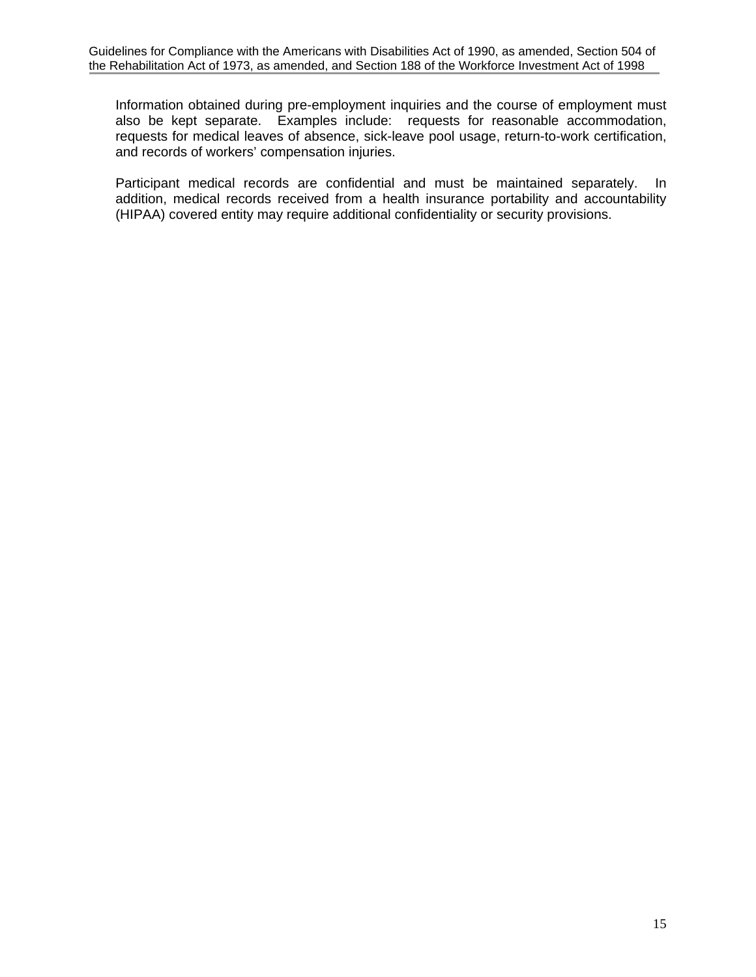Information obtained during pre-employment inquiries and the course of employment must also be kept separate. Examples include: requests for reasonable accommodation, requests for medical leaves of absence, sick-leave pool usage, return-to-work certification, and records of workers' compensation injuries.

Participant medical records are confidential and must be maintained separately. In addition, medical records received from a health insurance portability and accountability (HIPAA) covered entity may require additional confidentiality or security provisions.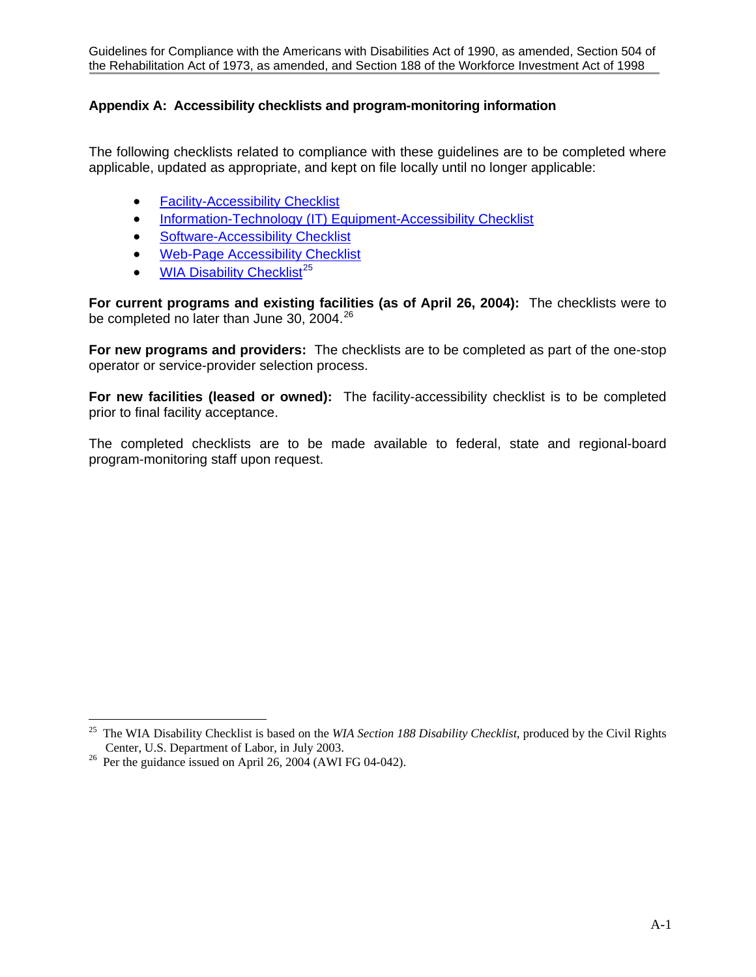## **Appendix A: Accessibility checklists and program-monitoring information**

The following checklists related to compliance with these guidelines are to be completed where applicable, updated as appropriate, and kept on file locally until no longer applicable:

- [Facility-Accessibility Checklist](http://www.floridajobs.org/pdg/ada/adachecklist.htm)
- [Information-Technology \(IT\) Equipment-Accessibility Checklist](http://www.doleta.gov/disability/htmldocs/ite_accesschecklist.htm)
- [Software-Accessibility Checklist](http://www.doleta.gov/disability/htmldocs/soft_accessibility_checklist.htm)
- [Web-Page Accessibility Checklist](http://www.doleta.gov/disability/htmldocs/web_accesschecklist.htm)
- [WIA Disability Checklist](http://www.floridajobs.org/civilrights/moa/tabs/5-c.doc)<sup>[25](#page-20-0)</sup>

**For current programs and existing facilities (as of April 26, 2004):** The checklists were to be completed no later than June 30, 2004. $^{26}$  $^{26}$  $^{26}$ 

**For new programs and providers:** The checklists are to be completed as part of the one-stop operator or service-provider selection process.

**For new facilities (leased or owned):** The facility-accessibility checklist is to be completed prior to final facility acceptance.

The completed checklists are to be made available to federal, state and regional-board program-monitoring staff upon request.

 $\overline{a}$ 

<span id="page-20-0"></span><sup>25</sup> The WIA Disability Checklist is based on the *WIA Section 188 Disability Checklist*, produced by the Civil Rights Center, U.S. Department of Labor, in July 2003.<br><sup>26</sup> Per the guidance issued on April 26, 2004 (AWI FG 04-042).

<span id="page-20-1"></span>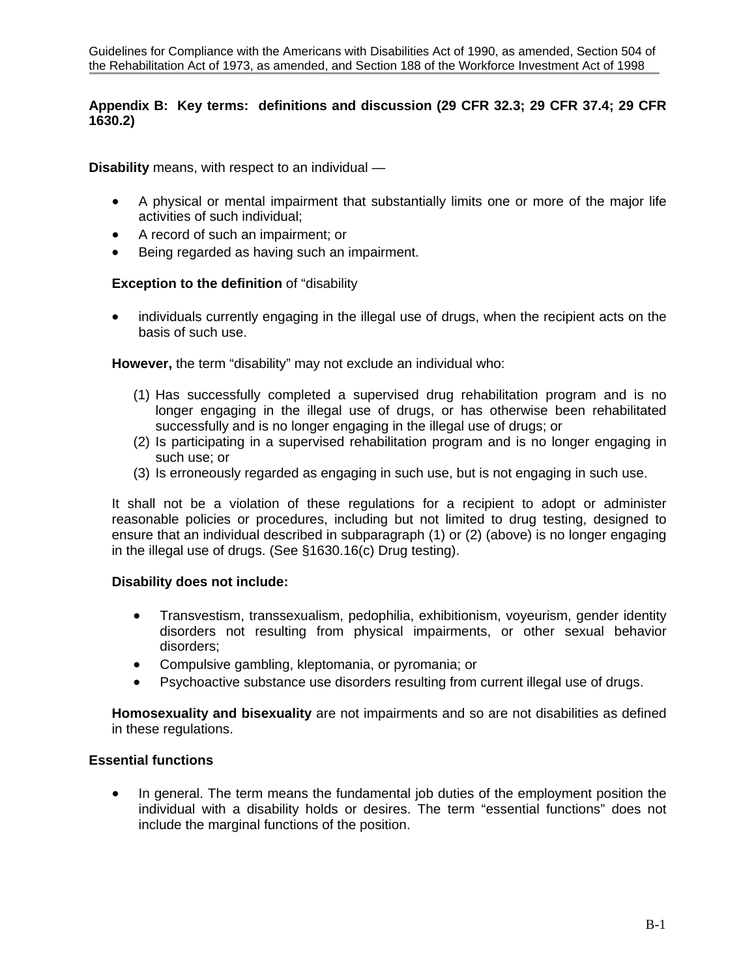## **Appendix B: Key terms: definitions and discussion (29 CFR 32.3; 29 CFR 37.4; 29 CFR 1630.2)**

**Disability** means, with respect to an individual —

- A physical or mental impairment that substantially limits one or more of the major life activities of such individual;
- A record of such an impairment; or
- Being regarded as having such an impairment.

### **Exception to the definition** of "disability

• individuals currently engaging in the illegal use of drugs, when the recipient acts on the basis of such use.

**However,** the term "disability" may not exclude an individual who:

- (1) Has successfully completed a supervised drug rehabilitation program and is no longer engaging in the illegal use of drugs, or has otherwise been rehabilitated successfully and is no longer engaging in the illegal use of drugs; or
- (2) Is participating in a supervised rehabilitation program and is no longer engaging in such use; or
- (3) Is erroneously regarded as engaging in such use, but is not engaging in such use.

It shall not be a violation of these regulations for a recipient to adopt or administer reasonable policies or procedures, including but not limited to drug testing, designed to ensure that an individual described in subparagraph (1) or (2) (above) is no longer engaging in the illegal use of drugs. (See §1630.16(c) Drug testing).

#### **Disability does not include:**

- Transvestism, transsexualism, pedophilia, exhibitionism, voyeurism, gender identity disorders not resulting from physical impairments, or other sexual behavior disorders;
- Compulsive gambling, kleptomania, or pyromania; or
- Psychoactive substance use disorders resulting from current illegal use of drugs.

**Homosexuality and bisexuality** are not impairments and so are not disabilities as defined in these regulations.

## **Essential functions**

• In general. The term means the fundamental job duties of the employment position the individual with a disability holds or desires. The term "essential functions" does not include the marginal functions of the position.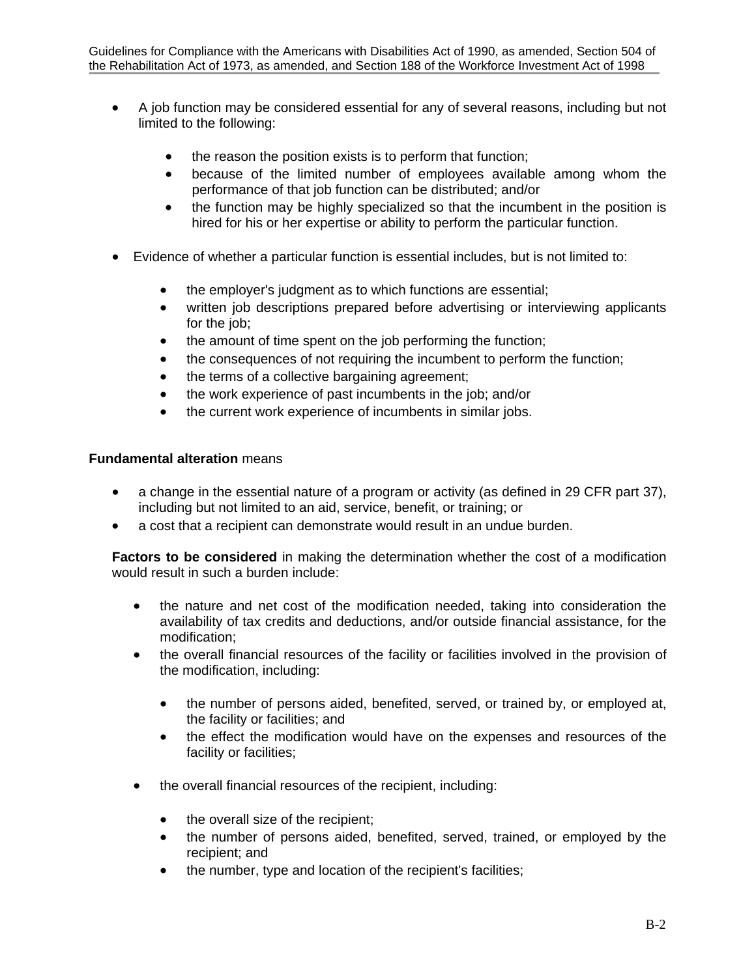- A job function may be considered essential for any of several reasons, including but not limited to the following:
	- the reason the position exists is to perform that function;
	- because of the limited number of employees available among whom the performance of that job function can be distributed; and/or
	- the function may be highly specialized so that the incumbent in the position is hired for his or her expertise or ability to perform the particular function.
- Evidence of whether a particular function is essential includes, but is not limited to:
	- the employer's judgment as to which functions are essential;
	- written job descriptions prepared before advertising or interviewing applicants for the job;
	- the amount of time spent on the job performing the function;
	- the consequences of not requiring the incumbent to perform the function;
	- the terms of a collective bargaining agreement;
	- the work experience of past incumbents in the job; and/or
	- the current work experience of incumbents in similar jobs.

### **Fundamental alteration** means

- a change in the essential nature of a program or activity (as defined in 29 CFR part 37), including but not limited to an aid, service, benefit, or training; or
- a cost that a recipient can demonstrate would result in an undue burden.

**Factors to be considered** in making the determination whether the cost of a modification would result in such a burden include:

- the nature and net cost of the modification needed, taking into consideration the availability of tax credits and deductions, and/or outside financial assistance, for the modification;
- the overall financial resources of the facility or facilities involved in the provision of the modification, including:
	- the number of persons aided, benefited, served, or trained by, or employed at, the facility or facilities; and
	- the effect the modification would have on the expenses and resources of the facility or facilities;
- the overall financial resources of the recipient, including:
	- the overall size of the recipient;
	- the number of persons aided, benefited, served, trained, or employed by the recipient; and
	- the number, type and location of the recipient's facilities;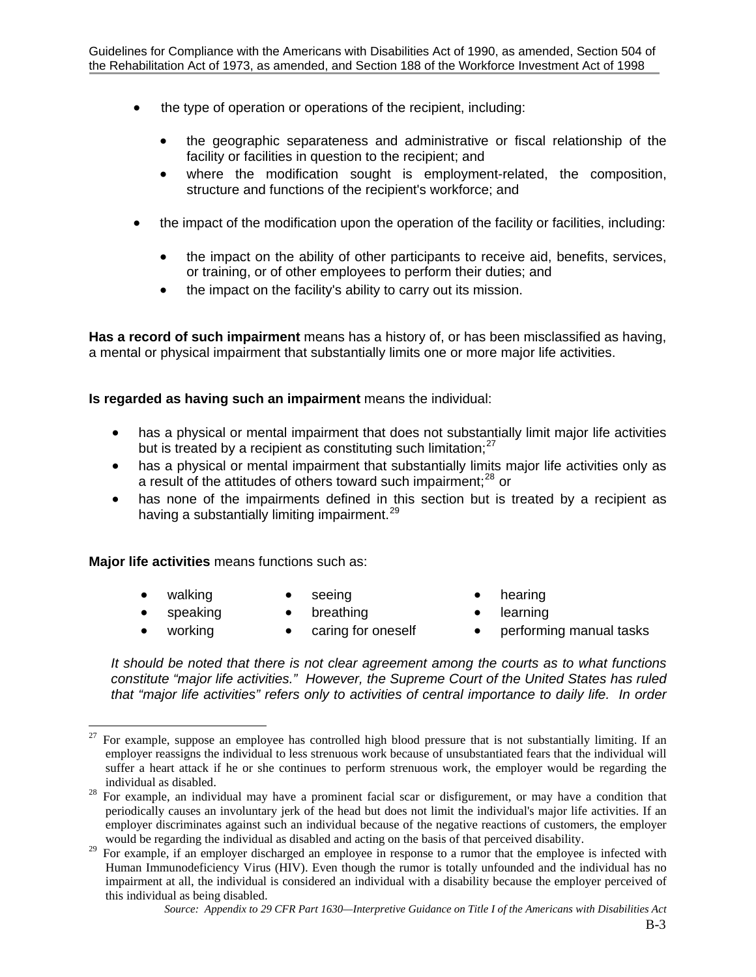- the type of operation or operations of the recipient, including:
	- the geographic separateness and administrative or fiscal relationship of the facility or facilities in question to the recipient; and
	- where the modification sought is employment-related, the composition, structure and functions of the recipient's workforce; and
- the impact of the modification upon the operation of the facility or facilities, including:
	- the impact on the ability of other participants to receive aid, benefits, services, or training, or of other employees to perform their duties; and
	- the impact on the facility's ability to carry out its mission.

**Has a record of such impairment** means has a history of, or has been misclassified as having, a mental or physical impairment that substantially limits one or more major life activities.

## **Is regarded as having such an impairment** means the individual:

- has a physical or mental impairment that does not substantially limit major life activities but is treated by a recipient as constituting such limitation;<sup>[27](#page-23-0)</sup>
- has a physical or mental impairment that substantially limits major life activities only as a result of the attitudes of others toward such impairment; $^{28}$  $^{28}$  $^{28}$  or
- has none of the impairments defined in this section but is treated by a recipient as having a substantially limiting impairment.<sup>[29](#page-23-2)</sup>

**Major life activities** means functions such as:

- 
- 
- walking seeing hearing
- speaking breathing learning
- 

 $\overline{a}$ 

- 
- 
- working caring for oneself performing manual tasks

*It should be noted that there is not clear agreement among the courts as to what functions constitute "major life activities." However, the Supreme Court of the United States has ruled that "major life activities" refers only to activities of central importance to daily life. In order* 

<span id="page-23-0"></span><sup>27</sup> For example, suppose an employee has controlled high blood pressure that is not substantially limiting. If an employer reassigns the individual to less strenuous work because of unsubstantiated fears that the individual will suffer a heart attack if he or she continues to perform strenuous work, the employer would be regarding the individual as disabled.<br><sup>28</sup> For example, an individual may have a prominent facial scar or disfigurement, or may have a condition that

<span id="page-23-1"></span>periodically causes an involuntary jerk of the head but does not limit the individual's major life activities. If an employer discriminates against such an individual because of the negative reactions of customers, the employer would be regarding the individual as disabled and acting on the basis of that perceived disability.

<span id="page-23-2"></span><sup>&</sup>lt;sup>29</sup> For example, if an employer discharged an employee in response to a rumor that the employee is infected with Human Immunodeficiency Virus (HIV). Even though the rumor is totally unfounded and the individual has no impairment at all, the individual is considered an individual with a disability because the employer perceived of this individual as being disabled.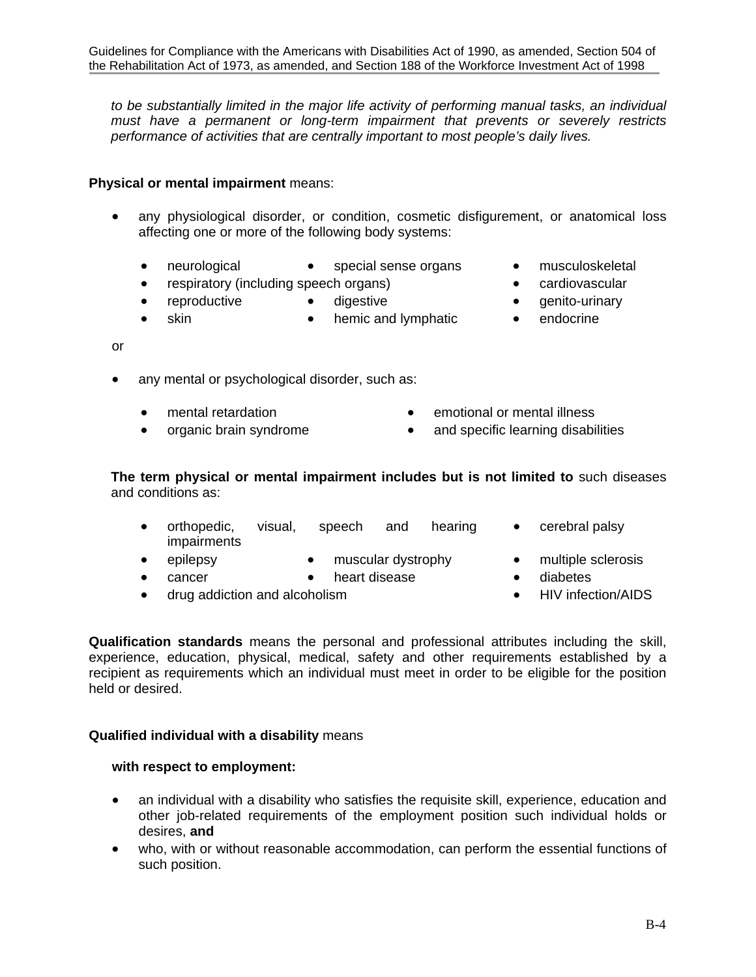*to be substantially limited in the major life activity of performing manual tasks, an individual must have a permanent or long-term impairment that prevents or severely restricts performance of activities that are centrally important to most people's daily lives.* 

## **Physical or mental impairment** means:

- any physiological disorder, or condition, cosmetic disfigurement, or anatomical loss affecting one or more of the following body systems:
	-
	- neurological special sense organs musculoskeletal
	- respiratory (including speech organs) cardiovascular
	- reproductive digestive **•** genito-urinary
	- skin hemic and lymphatic endocrine
- or
- any mental or psychological disorder, such as:
	-
	- mental retardation **•** emotional or mental illness
		- organic brain syndrome and specific learning disabilities

**The term physical or mental impairment includes but is not limited to** such diseases and conditions as:

- orthopedic, visual, speech and hearing impairments
	- cerebral palsy
- epilepsy muscular dystrophy multiple sclerosis
	- cancer heart disease diabetes
		-
- drug addiction and alcoholism HIV infection/AIDS

**Qualification standards** means the personal and professional attributes including the skill, experience, education, physical, medical, safety and other requirements established by a recipient as requirements which an individual must meet in order to be eligible for the position held or desired.

## **Qualified individual with a disability** means

## **with respect to employment:**

- an individual with a disability who satisfies the requisite skill, experience, education and other job-related requirements of the employment position such individual holds or desires, **and**
- who, with or without reasonable accommodation, can perform the essential functions of such position.
- 
- 
- 
-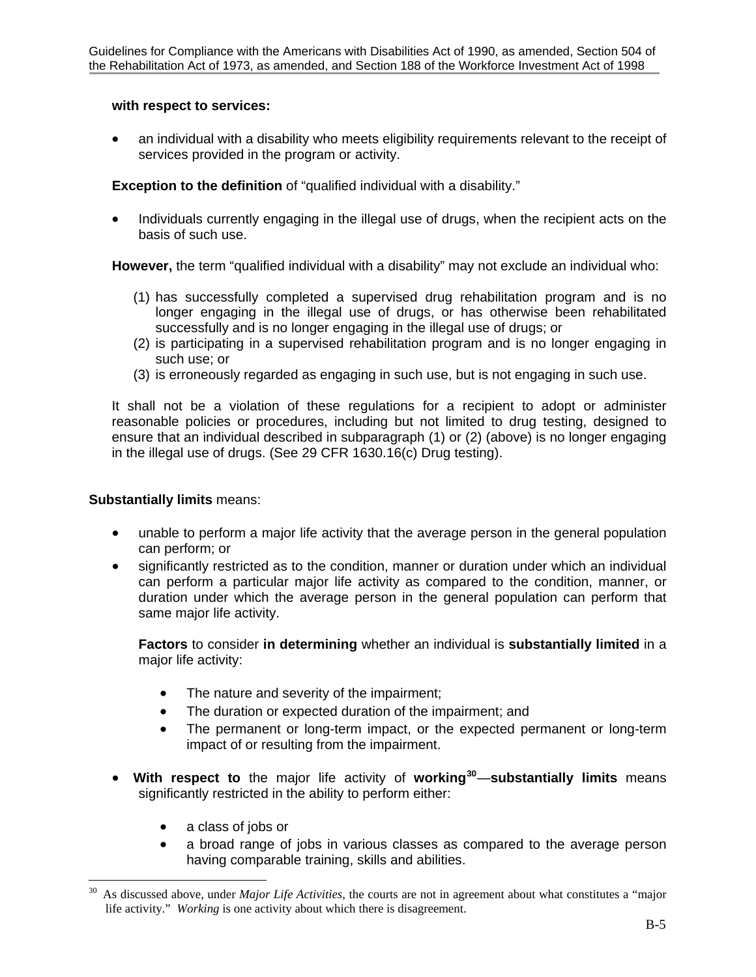## **with respect to services:**

• an individual with a disability who meets eligibility requirements relevant to the receipt of services provided in the program or activity.

**Exception to the definition** of "qualified individual with a disability."

• Individuals currently engaging in the illegal use of drugs, when the recipient acts on the basis of such use.

**However,** the term "qualified individual with a disability" may not exclude an individual who:

- (1) has successfully completed a supervised drug rehabilitation program and is no longer engaging in the illegal use of drugs, or has otherwise been rehabilitated successfully and is no longer engaging in the illegal use of drugs; or
- (2) is participating in a supervised rehabilitation program and is no longer engaging in such use; or
- (3) is erroneously regarded as engaging in such use, but is not engaging in such use.

It shall not be a violation of these regulations for a recipient to adopt or administer reasonable policies or procedures, including but not limited to drug testing, designed to ensure that an individual described in subparagraph (1) or (2) (above) is no longer engaging in the illegal use of drugs. (See 29 CFR 1630.16(c) Drug testing).

## **Substantially limits** means:

- unable to perform a major life activity that the average person in the general population can perform; or
- significantly restricted as to the condition, manner or duration under which an individual can perform a particular major life activity as compared to the condition, manner, or duration under which the average person in the general population can perform that same major life activity.

**Factors** to consider **in determining** whether an individual is **substantially limited** in a major life activity:

- The nature and severity of the impairment;
- The duration or expected duration of the impairment; and
- The permanent or long-term impact, or the expected permanent or long-term impact of or resulting from the impairment.
- **With respect to** the major life activity of **working[30](#page-25-0)**—**substantially limits** means significantly restricted in the ability to perform either:
	- a class of jobs or
	- a broad range of jobs in various classes as compared to the average person having comparable training, skills and abilities.

<span id="page-25-0"></span><sup>30</sup> 30 As discussed above, under *Major Life Activities*, the courts are not in agreement about what constitutes a "major life activity." *Working* is one activity about which there is disagreement.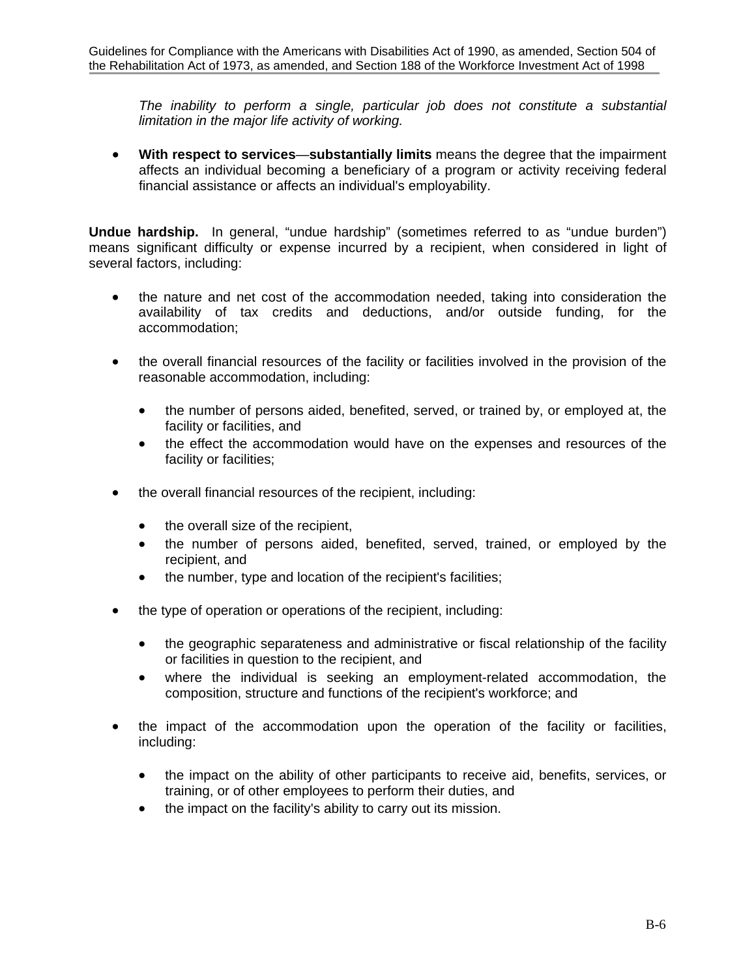*The inability to perform a single, particular job does not constitute a substantial limitation in the major life activity of working.*

• **With respect to services**—**substantially limits** means the degree that the impairment affects an individual becoming a beneficiary of a program or activity receiving federal financial assistance or affects an individual's employability.

**Undue hardship.** In general, "undue hardship" (sometimes referred to as "undue burden") means significant difficulty or expense incurred by a recipient, when considered in light of several factors, including:

- the nature and net cost of the accommodation needed, taking into consideration the availability of tax credits and deductions, and/or outside funding, for the accommodation;
- the overall financial resources of the facility or facilities involved in the provision of the reasonable accommodation, including:
	- the number of persons aided, benefited, served, or trained by, or employed at, the facility or facilities, and
	- the effect the accommodation would have on the expenses and resources of the facility or facilities;
- the overall financial resources of the recipient, including:
	- the overall size of the recipient,
	- the number of persons aided, benefited, served, trained, or employed by the recipient, and
	- the number, type and location of the recipient's facilities;
- the type of operation or operations of the recipient, including:
	- the geographic separateness and administrative or fiscal relationship of the facility or facilities in question to the recipient, and
	- where the individual is seeking an employment-related accommodation, the composition, structure and functions of the recipient's workforce; and
- the impact of the accommodation upon the operation of the facility or facilities, including:
	- the impact on the ability of other participants to receive aid, benefits, services, or training, or of other employees to perform their duties, and
	- the impact on the facility's ability to carry out its mission.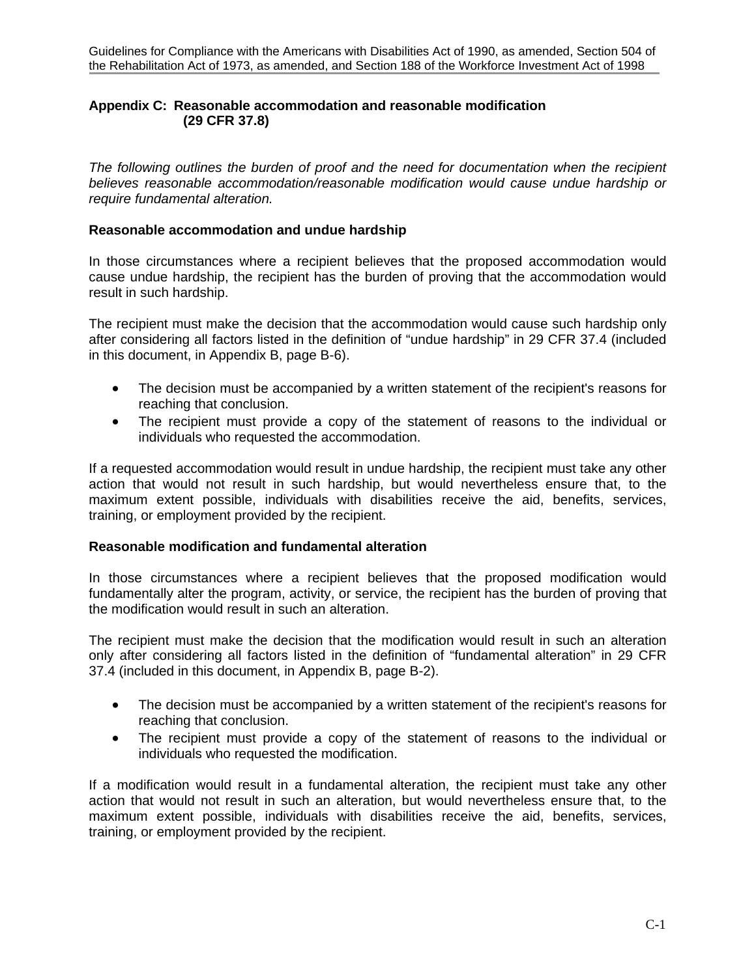## **Appendix C: Reasonable accommodation and reasonable modification (29 CFR 37.8)**

*The following outlines the burden of proof and the need for documentation when the recipient believes reasonable accommodation/reasonable modification would cause undue hardship or require fundamental alteration.* 

### **Reasonable accommodation and undue hardship**

In those circumstances where a recipient believes that the proposed accommodation would cause undue hardship, the recipient has the burden of proving that the accommodation would result in such hardship.

The recipient must make the decision that the accommodation would cause such hardship only after considering all factors listed in the definition of "undue hardship" in 29 CFR 37.4 (included in this document, in Appendix B, page B-6).

- The decision must be accompanied by a written statement of the recipient's reasons for reaching that conclusion.
- The recipient must provide a copy of the statement of reasons to the individual or individuals who requested the accommodation.

If a requested accommodation would result in undue hardship, the recipient must take any other action that would not result in such hardship, but would nevertheless ensure that, to the maximum extent possible, individuals with disabilities receive the aid, benefits, services, training, or employment provided by the recipient.

## **Reasonable modification and fundamental alteration**

In those circumstances where a recipient believes that the proposed modification would fundamentally alter the program, activity, or service, the recipient has the burden of proving that the modification would result in such an alteration.

The recipient must make the decision that the modification would result in such an alteration only after considering all factors listed in the definition of "fundamental alteration" in 29 CFR 37.4 (included in this document, in Appendix B, page B-2).

- The decision must be accompanied by a written statement of the recipient's reasons for reaching that conclusion.
- The recipient must provide a copy of the statement of reasons to the individual or individuals who requested the modification.

If a modification would result in a fundamental alteration, the recipient must take any other action that would not result in such an alteration, but would nevertheless ensure that, to the maximum extent possible, individuals with disabilities receive the aid, benefits, services, training, or employment provided by the recipient.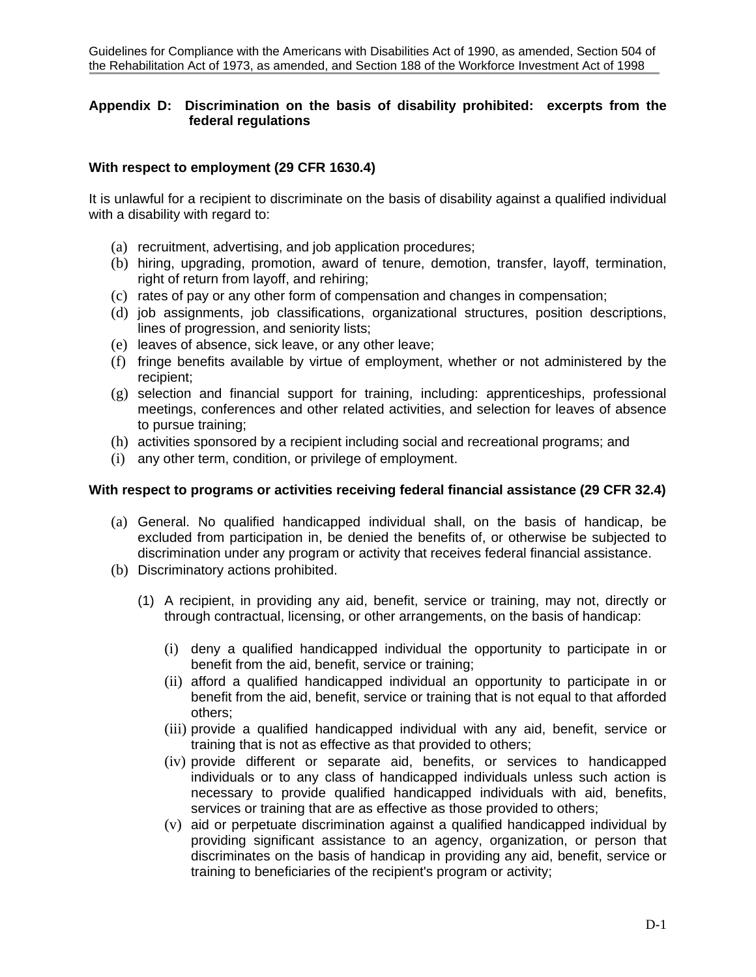## **Appendix D: Discrimination on the basis of disability prohibited: excerpts from the federal regulations**

## **With respect to employment (29 CFR 1630.4)**

It is unlawful for a recipient to discriminate on the basis of disability against a qualified individual with a disability with regard to:

- (a) recruitment, advertising, and job application procedures;
- (b) hiring, upgrading, promotion, award of tenure, demotion, transfer, layoff, termination, right of return from layoff, and rehiring;
- (c) rates of pay or any other form of compensation and changes in compensation;
- (d) job assignments, job classifications, organizational structures, position descriptions, lines of progression, and seniority lists;
- (e) leaves of absence, sick leave, or any other leave;
- (f) fringe benefits available by virtue of employment, whether or not administered by the recipient;
- (g) selection and financial support for training, including: apprenticeships, professional meetings, conferences and other related activities, and selection for leaves of absence to pursue training;
- (h) activities sponsored by a recipient including social and recreational programs; and
- (i) any other term, condition, or privilege of employment.

## **With respect to programs or activities receiving federal financial assistance (29 CFR 32.4)**

- (a) General. No qualified handicapped individual shall, on the basis of handicap, be excluded from participation in, be denied the benefits of, or otherwise be subjected to discrimination under any program or activity that receives federal financial assistance.
- (b) Discriminatory actions prohibited.
	- (1) A recipient, in providing any aid, benefit, service or training, may not, directly or through contractual, licensing, or other arrangements, on the basis of handicap:
		- (i) deny a qualified handicapped individual the opportunity to participate in or benefit from the aid, benefit, service or training;
		- (ii) afford a qualified handicapped individual an opportunity to participate in or benefit from the aid, benefit, service or training that is not equal to that afforded others;
		- (iii) provide a qualified handicapped individual with any aid, benefit, service or training that is not as effective as that provided to others;
		- (iv) provide different or separate aid, benefits, or services to handicapped individuals or to any class of handicapped individuals unless such action is necessary to provide qualified handicapped individuals with aid, benefits, services or training that are as effective as those provided to others;
		- (v) aid or perpetuate discrimination against a qualified handicapped individual by providing significant assistance to an agency, organization, or person that discriminates on the basis of handicap in providing any aid, benefit, service or training to beneficiaries of the recipient's program or activity;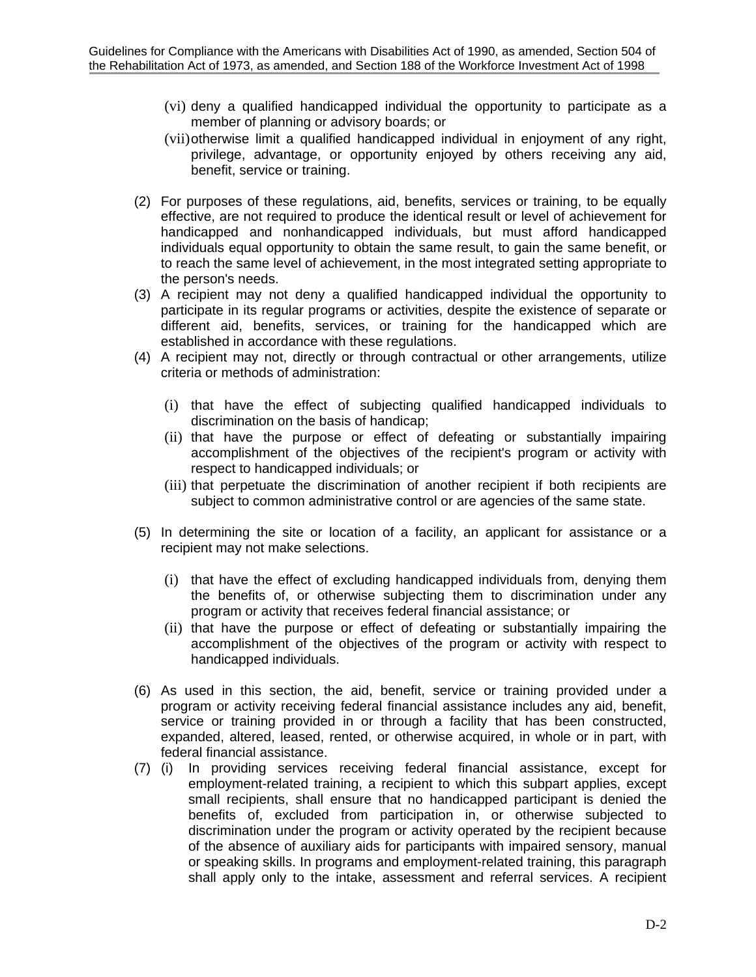- (vi) deny a qualified handicapped individual the opportunity to participate as a member of planning or advisory boards; or
- (vii)otherwise limit a qualified handicapped individual in enjoyment of any right, privilege, advantage, or opportunity enjoyed by others receiving any aid, benefit, service or training.
- (2) For purposes of these regulations, aid, benefits, services or training, to be equally effective, are not required to produce the identical result or level of achievement for handicapped and nonhandicapped individuals, but must afford handicapped individuals equal opportunity to obtain the same result, to gain the same benefit, or to reach the same level of achievement, in the most integrated setting appropriate to the person's needs.
- (3) A recipient may not deny a qualified handicapped individual the opportunity to participate in its regular programs or activities, despite the existence of separate or different aid, benefits, services, or training for the handicapped which are established in accordance with these regulations.
- (4) A recipient may not, directly or through contractual or other arrangements, utilize criteria or methods of administration:
	- (i) that have the effect of subjecting qualified handicapped individuals to discrimination on the basis of handicap;
	- (ii) that have the purpose or effect of defeating or substantially impairing accomplishment of the objectives of the recipient's program or activity with respect to handicapped individuals; or
	- (iii) that perpetuate the discrimination of another recipient if both recipients are subject to common administrative control or are agencies of the same state.
- (5) In determining the site or location of a facility, an applicant for assistance or a recipient may not make selections.
	- (i) that have the effect of excluding handicapped individuals from, denying them the benefits of, or otherwise subjecting them to discrimination under any program or activity that receives federal financial assistance; or
	- (ii) that have the purpose or effect of defeating or substantially impairing the accomplishment of the objectives of the program or activity with respect to handicapped individuals.
- (6) As used in this section, the aid, benefit, service or training provided under a program or activity receiving federal financial assistance includes any aid, benefit, service or training provided in or through a facility that has been constructed, expanded, altered, leased, rented, or otherwise acquired, in whole or in part, with federal financial assistance.
- (7) (i) In providing services receiving federal financial assistance, except for employment-related training, a recipient to which this subpart applies, except small recipients, shall ensure that no handicapped participant is denied the benefits of, excluded from participation in, or otherwise subjected to discrimination under the program or activity operated by the recipient because of the absence of auxiliary aids for participants with impaired sensory, manual or speaking skills. In programs and employment-related training, this paragraph shall apply only to the intake, assessment and referral services. A recipient